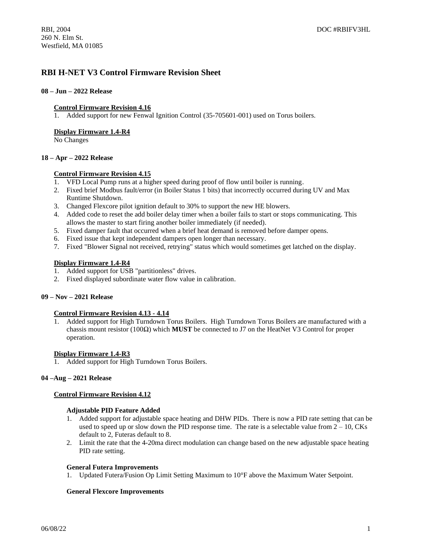## **RBI H-NET V3 Control Firmware Revision Sheet**

### **08 – Jun – 2022 Release**

### **Control Firmware Revision 4.16**

1. Added support for new Fenwal Ignition Control (35-705601-001) used on Torus boilers.

### **Display Firmware 1.4-R4**

No Changes

### **18 – Apr – 2022 Release**

## **Control Firmware Revision 4.15**

- 1. VFD Local Pump runs at a higher speed during proof of flow until boiler is running.
- 2. Fixed brief Modbus fault/error (in Boiler Status 1 bits) that incorrectly occurred during UV and Max Runtime Shutdown.
- 3. Changed Flexcore pilot ignition default to 30% to support the new HE blowers.
- 4. Added code to reset the add boiler delay timer when a boiler fails to start or stops communicating. This allows the master to start firing another boiler immediately (if needed).
- 5. Fixed damper fault that occurred when a brief heat demand is removed before damper opens.
- 6. Fixed issue that kept independent dampers open longer than necessary.
- 7. Fixed "Blower Signal not received, retrying" status which would sometimes get latched on the display.

## **Display Firmware 1.4-R4**

- 1. Added support for USB "partitionless" drives.
- 2. Fixed displayed subordinate water flow value in calibration.

## **09 – Nov – 2021 Release**

### **Control Firmware Revision 4.13 - 4.14**

1. Added support for High Turndown Torus Boilers. High Turndown Torus Boilers are manufactured with a chassis mount resistor (100Ω) which **MUST** be connected to J7 on the HeatNet V3 Control for proper operation.

### **Display Firmware 1.4-R3**

1. Added support for High Turndown Torus Boilers.

### **04 –Aug – 2021 Release**

### **Control Firmware Revision 4.12**

### **Adjustable PID Feature Added**

- 1. Added support for adjustable space heating and DHW PIDs. There is now a PID rate setting that can be used to speed up or slow down the PID response time. The rate is a selectable value from  $2 - 10$ , CKs default to 2, Futeras default to 8.
- 2. Limit the rate that the 4-20ma direct modulation can change based on the new adjustable space heating PID rate setting.

### **General Futera Improvements**

1. Updated Futera/Fusion Op Limit Setting Maximum to 10°F above the Maximum Water Setpoint.

## **General Flexcore Improvements**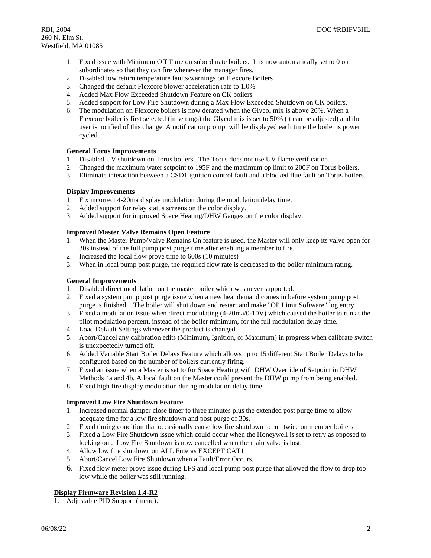- 1. Fixed issue with Minimum Off Time on subordinate boilers. It is now automatically set to 0 on subordinates so that they can fire whenever the manager fires.
- 2. Disabled low return temperature faults/warnings on Flexcore Boilers
- 3. Changed the default Flexcore blower acceleration rate to 1.0%
- 4. Added Max Flow Exceeded Shutdown Feature on CK boilers
- 5. Added support for Low Fire Shutdown during a Max Flow Exceeded Shutdown on CK boilers.
- 6. The modulation on Flexcore boilers is now derated when the Glycol mix is above 20%. When a Flexcore boiler is first selected (in settings) the Glycol mix is set to 50% (it can be adjusted) and the user is notified of this change. A notification prompt will be displayed each time the boiler is power cycled.

### **General Torus Improvements**

- 1. Disabled UV shutdown on Torus boilers. The Torus does not use UV flame verification.
- 2. Changed the maximum water setpoint to 195F and the maximum op limit to 200F on Torus boilers.
- 3. Eliminate interaction between a CSD1 ignition control fault and a blocked flue fault on Torus boilers.

### **Display Improvements**

- 1. Fix incorrect 4-20ma display modulation during the modulation delay time.
- 2. Added support for relay status screens on the color display.
- 3. Added support for improved Space Heating/DHW Gauges on the color display.

### **Improved Master Valve Remains Open Feature**

- 1. When the Master Pump/Valve Remains On feature is used, the Master will only keep its valve open for 30s instead of the full pump post purge time after enabling a member to fire.
- 2. Increased the local flow prove time to 600s (10 minutes)
- 3. When in local pump post purge, the required flow rate is decreased to the boiler minimum rating.

### **General Improvements**

- 1. Disabled direct modulation on the master boiler which was never supported.
- 2. Fixed a system pump post purge issue when a new heat demand comes in before system pump post purge is finished. The boiler will shut down and restart and make "OP Limit Software" log entry.
- 3. Fixed a modulation issue when direct modulating (4-20ma/0-10V) which caused the boiler to run at the pilot modulation percent, instead of the boiler minimum, for the full modulation delay time.
- 4. Load Default Settings whenever the product is changed.
- 5. Abort/Cancel any calibration edits (Minimum, Ignition, or Maximum) in progress when calibrate switch is unexpectedly turned off.
- 6. Added Variable Start Boiler Delays Feature which allows up to 15 different Start Boiler Delays to be configured based on the number of boilers currently firing.
- 7. Fixed an issue when a Master is set to for Space Heating with DHW Override of Setpoint in DHW Methods 4a and 4b. A local fault on the Master could prevent the DHW pump from being enabled.
- 8. Fixed high fire display modulation during modulation delay time.

## **Improved Low Fire Shutdown Feature**

- 1. Increased normal damper close timer to three minutes plus the extended post purge time to allow adequate time for a low fire shutdown and post purge of 30s.
- 2. Fixed timing condition that occasionally cause low fire shutdown to run twice on member boilers.
- 3. Fixed a Low Fire Shutdown issue which could occur when the Honeywell is set to retry as opposed to locking out. Low Fire Shutdown is now cancelled when the main valve is lost.
- 4. Allow low fire shutdown on ALL Futeras EXCEPT CAT1
- 5. Abort/Cancel Low Fire Shutdown when a Fault/Error Occurs.
- 6. Fixed flow meter prove issue during LFS and local pump post purge that allowed the flow to drop too low while the boiler was still running.

## **Display Firmware Revision 1.4-R2**

1. Adjustable PID Support (menu).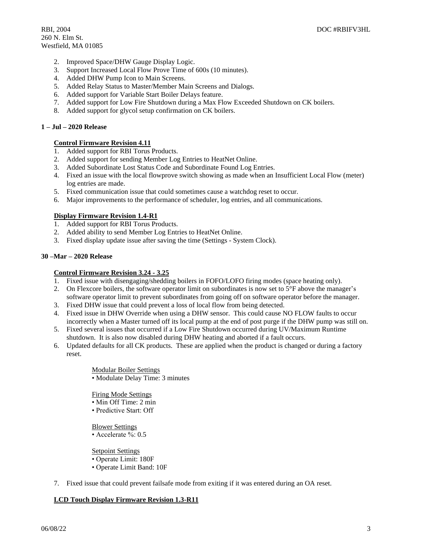- 2. Improved Space/DHW Gauge Display Logic.
- 3. Support Increased Local Flow Prove Time of 600s (10 minutes).
- 4. Added DHW Pump Icon to Main Screens.
- 5. Added Relay Status to Master/Member Main Screens and Dialogs.
- 6. Added support for Variable Start Boiler Delays feature.
- 7. Added support for Low Fire Shutdown during a Max Flow Exceeded Shutdown on CK boilers.
- 8. Added support for glycol setup confirmation on CK boilers.

### **1 – Jul – 2020 Release**

### **Control Firmware Revision 4.11**

- 1. Added support for RBI Torus Products.
- 2. Added support for sending Member Log Entries to HeatNet Online.
- 3. Added Subordinate Lost Status Code and Subordinate Found Log Entries.
- 4. Fixed an issue with the local flowprove switch showing as made when an Insufficient Local Flow (meter) log entries are made.
- 5. Fixed communication issue that could sometimes cause a watchdog reset to occur.
- 6. Major improvements to the performance of scheduler, log entries, and all communications.

### **Display Firmware Revision 1.4-R1**

- 1. Added support for RBI Torus Products.
- 2. Added ability to send Member Log Entries to HeatNet Online.
- 3. Fixed display update issue after saving the time (Settings System Clock).

### **30 –Mar – 2020 Release**

### **Control Firmware Revision 3.24 - 3.25**

- 1. Fixed issue with disengaging/shedding boilers in FOFO/LOFO firing modes (space heating only).
- 2. On Flexcore boilers, the software operator limit on subordinates is now set to 5°F above the manager's software operator limit to prevent subordinates from going off on software operator before the manager.
- 3. Fixed DHW issue that could prevent a loss of local flow from being detected.
- 4. Fixed issue in DHW Override when using a DHW sensor. This could cause NO FLOW faults to occur incorrectly when a Master turned off its local pump at the end of post purge if the DHW pump was still on.
- 5. Fixed several issues that occurred if a Low Fire Shutdown occurred during UV/Maximum Runtime shutdown. It is also now disabled during DHW heating and aborted if a fault occurs.
- 6. Updated defaults for all CK products. These are applied when the product is changed or during a factory reset.

Modular Boiler Settings

• Modulate Delay Time: 3 minutes

Firing Mode Settings

- Min Off Time: 2 min
- Predictive Start: Off

### Blower Settings

• Accelerate %: 0.5

Setpoint Settings

- Operate Limit: 180F
- Operate Limit Band: 10F
- 7. Fixed issue that could prevent failsafe mode from exiting if it was entered during an OA reset.

## **LCD Touch Display Firmware Revision 1.3-R11**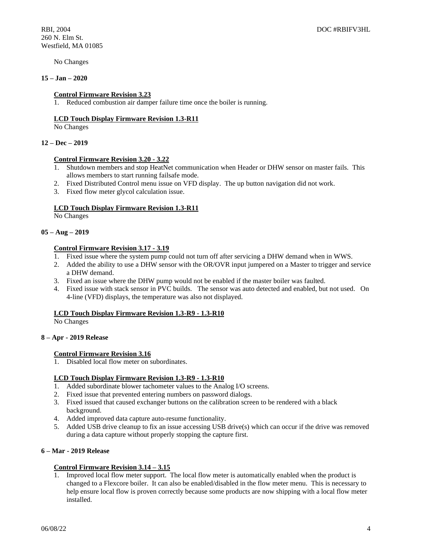No Changes

### **15 – Jan – 2020**

### **Control Firmware Revision 3.23**

1. Reduced combustion air damper failure time once the boiler is running.

#### **LCD Touch Display Firmware Revision 1.3-R11**

No Changes

### **12 – Dec – 2019**

### **Control Firmware Revision 3.20 - 3.22**

- 1. Shutdown members and stop HeatNet communication when Header or DHW sensor on master fails. This allows members to start running failsafe mode.
- 2. Fixed Distributed Control menu issue on VFD display. The up button navigation did not work.
- 3. Fixed flow meter glycol calculation issue.

### **LCD Touch Display Firmware Revision 1.3-R11**

No Changes

### **05 – Aug – 2019**

### **Control Firmware Revision 3.17 - 3.19**

- 1. Fixed issue where the system pump could not turn off after servicing a DHW demand when in WWS.
- 2. Added the ability to use a DHW sensor with the OR/OVR input jumpered on a Master to trigger and service a DHW demand.
- 3. Fixed an issue where the DHW pump would not be enabled if the master boiler was faulted.
- 4. Fixed issue with stack sensor in PVC builds. The sensor was auto detected and enabled, but not used. On 4-line (VFD) displays, the temperature was also not displayed.

### **LCD Touch Display Firmware Revision 1.3-R9 - 1.3-R10**

No Changes

### **8 – Apr - 2019 Release**

### **Control Firmware Revision 3.16**

1. Disabled local flow meter on subordinates.

### **LCD Touch Display Firmware Revision 1.3-R9 - 1.3-R10**

- 1. Added subordinate blower tachometer values to the Analog I/O screens.
- 2. Fixed issue that prevented entering numbers on password dialogs.
- 3. Fixed issued that caused exchanger buttons on the calibration screen to be rendered with a black background.
- 4. Added improved data capture auto-resume functionality.
- 5. Added USB drive cleanup to fix an issue accessing USB drive(s) which can occur if the drive was removed during a data capture without properly stopping the capture first.

## **6 – Mar - 2019 Release**

### **Control Firmware Revision 3.14 – 3.15**

1. Improved local flow meter support. The local flow meter is automatically enabled when the product is changed to a Flexcore boiler. It can also be enabled/disabled in the flow meter menu. This is necessary to help ensure local flow is proven correctly because some products are now shipping with a local flow meter installed.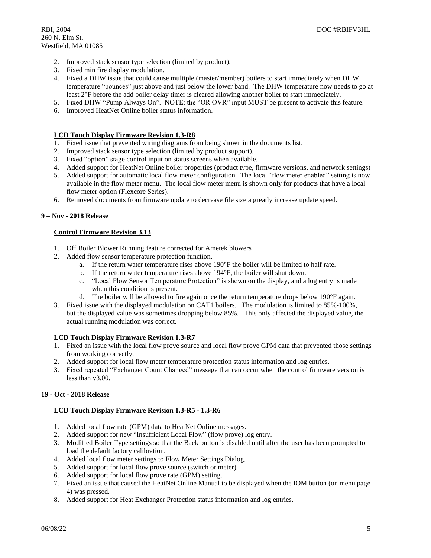- 2. Improved stack sensor type selection (limited by product).
- 3. Fixed min fire display modulation.
- 4. Fixed a DHW issue that could cause multiple (master/member) boilers to start immediately when DHW temperature "bounces" just above and just below the lower band. The DHW temperature now needs to go at least 2°F before the add boiler delay timer is cleared allowing another boiler to start immediately.
- 5. Fixed DHW "Pump Always On". NOTE: the "OR OVR" input MUST be present to activate this feature.
- 6. Improved HeatNet Online boiler status information.

### **LCD Touch Display Firmware Revision 1.3-R8**

- 1. Fixed issue that prevented wiring diagrams from being shown in the documents list.
- 2. Improved stack sensor type selection (limited by product support).
- 3. Fixed "option" stage control input on status screens when available.
- 4. Added support for HeatNet Online boiler properties (product type, firmware versions, and network settings)
- 5. Added support for automatic local flow meter configuration. The local "flow meter enabled" setting is now available in the flow meter menu. The local flow meter menu is shown only for products that have a local flow meter option (Flexcore Series).
- 6. Removed documents from firmware update to decrease file size a greatly increase update speed.

### **9 – Nov - 2018 Release**

### **Control Firmware Revision 3.13**

- 1. Off Boiler Blower Running feature corrected for Ametek blowers
- 2. Added flow sensor temperature protection function.
	- a. If the return water temperature rises above 190°F the boiler will be limited to half rate.
	- b. If the return water temperature rises above 194°F, the boiler will shut down.
	- c. "Local Flow Sensor Temperature Protection" is shown on the display, and a log entry is made when this condition is present.
	- d. The boiler will be allowed to fire again once the return temperature drops below 190°F again.
- 3. Fixed issue with the displayed modulation on CAT1 boilers. The modulation is limited to 85%-100%, but the displayed value was sometimes dropping below 85%. This only affected the displayed value, the actual running modulation was correct.

## **LCD Touch Display Firmware Revision 1.3-R7**

- 1. Fixed an issue with the local flow prove source and local flow prove GPM data that prevented those settings from working correctly.
- 2. Added support for local flow meter temperature protection status information and log entries.
- 3. Fixed repeated "Exchanger Count Changed" message that can occur when the control firmware version is less than v3.00.

## **19 - Oct - 2018 Release**

## **LCD Touch Display Firmware Revision 1.3-R5 - 1.3-R6**

- 1. Added local flow rate (GPM) data to HeatNet Online messages.
- 2. Added support for new "Insufficient Local Flow" (flow prove) log entry.
- 3. Modified Boiler Type settings so that the Back button is disabled until after the user has been prompted to load the default factory calibration.
- 4. Added local flow meter settings to Flow Meter Settings Dialog.
- 5. Added support for local flow prove source (switch or meter).
- 6. Added support for local flow prove rate (GPM) setting.
- 7. Fixed an issue that caused the HeatNet Online Manual to be displayed when the IOM button (on menu page 4) was pressed.
- 8. Added support for Heat Exchanger Protection status information and log entries.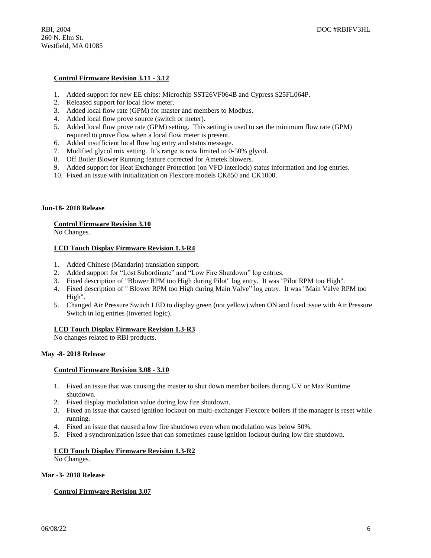### **Control Firmware Revision 3.11 - 3.12**

- 1. Added support for new EE chips: Microchip SST26VF064B and Cypress S25FL064P.
- 2. Released support for local flow meter.
- 3. Added local flow rate (GPM) for master and members to Modbus.
- 4. Added local flow prove source (switch or meter).
- 5. Added local flow prove rate (GPM) setting. This setting is used to set the minimum flow rate (GPM) required to prove flow when a local flow meter is present.
- 6. Added insufficient local flow log entry and status message.
- 7. Modified glycol mix setting. It's range is now limited to 0-50% glycol.
- 8. Off Boiler Blower Running feature corrected for Ametek blowers.
- 9. Added support for Heat Exchanger Protection (on VFD interlock) status information and log entries.
- 10. Fixed an issue with initialization on Flexcore models CK850 and CK1000.

### **Jun-18- 2018 Release**

### **Control Firmware Revision 3.10**

No Changes.

### **LCD Touch Display Firmware Revision 1.3-R4**

- 1. Added Chinese (Mandarin) translation support.
- 2. Added support for "Lost Subordinate" and "Low Fire Shutdown" log entries.
- 3. Fixed description of "Blower RPM too High during Pilot" log entry. It was "Pilot RPM too High".
- 4. Fixed description of " Blower RPM too High during Main Valve" log entry. It was "Main Valve RPM too High".
- 5. Changed Air Pressure Switch LED to display green (not yellow) when ON and fixed issue with Air Pressure Switch in log entries (inverted logic).

### **LCD Touch Display Firmware Revision 1.3-R3**

No changes related to RBI products.

### **May -8- 2018 Release**

#### **Control Firmware Revision 3.08 - 3.10**

- 1. Fixed an issue that was causing the master to shut down member boilers during UV or Max Runtime shutdown.
- 2. Fixed display modulation value during low fire shutdown.
- 3. Fixed an issue that caused ignition lockout on multi-exchanger Flexcore boilers if the manager is reset while running.
- 4. Fixed an issue that caused a low fire shutdown even when modulation was below 50%.
- 5. Fixed a synchronization issue that can sometimes cause ignition lockout during low fire shutdown.

### **LCD Touch Display Firmware Revision 1.3-R2**

No Changes.

### **Mar -3- 2018 Release**

### **Control Firmware Revision 3.07**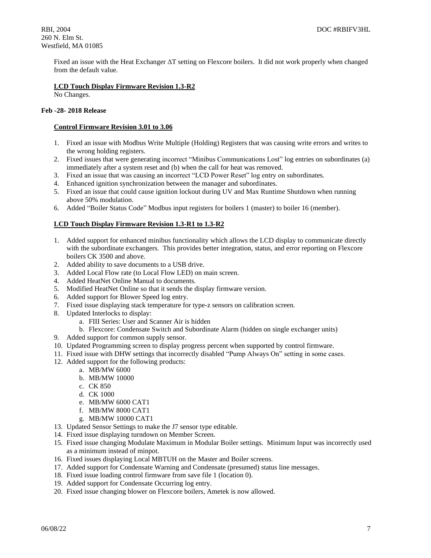Fixed an issue with the Heat Exchanger ΔT setting on Flexcore boilers. It did not work properly when changed from the default value.

### **LCD Touch Display Firmware Revision 1.3-R2**

No Changes.

## **Feb -28- 2018 Release**

### **Control Firmware Revision 3.01 to 3.06**

- 1. Fixed an issue with Modbus Write Multiple (Holding) Registers that was causing write errors and writes to the wrong holding registers.
- 2. Fixed issues that were generating incorrect "Minibus Communications Lost" log entries on subordinates (a) immediately after a system reset and (b) when the call for heat was removed.
- 3. Fixed an issue that was causing an incorrect "LCD Power Reset" log entry on subordinates.
- 4. Enhanced ignition synchronization between the manager and subordinates.
- 5. Fixed an issue that could cause ignition lockout during UV and Max Runtime Shutdown when running above 50% modulation.
- 6. Added "Boiler Status Code" Modbus input registers for boilers 1 (master) to boiler 16 (member).

## **LCD Touch Display Firmware Revision 1.3-R1 to 1.3-R2**

- 1. Added support for enhanced minibus functionality which allows the LCD display to communicate directly with the subordinate exchangers. This provides better integration, status, and error reporting on Flexcore boilers CK 3500 and above.
- 2. Added ability to save documents to a USB drive.
- 3. Added Local Flow rate (to Local Flow LED) on main screen.
- 4. Added HeatNet Online Manual to documents.
- 5. Modified HeatNet Online so that it sends the display firmware version.
- 6. Added support for Blower Speed log entry.
- 7. Fixed issue displaying stack temperature for type-z sensors on calibration screen.
- 8. Updated Interlocks to display:
	- a. FIII Series: User and Scanner Air is hidden
	- b. Flexcore: Condensate Switch and Subordinate Alarm (hidden on single exchanger units)
- 9. Added support for common supply sensor.
- 10. Updated Programming screen to display progress percent when supported by control firmware.
- 11. Fixed issue with DHW settings that incorrectly disabled "Pump Always On" setting in some cases.
- 12. Added support for the following products:
	- a. MB/MW 6000
	- b. MB/MW 10000
	- c. CK 850
	- d. CK 1000
	- e. MB/MW 6000 CAT1
	- f. MB/MW 8000 CAT1
	- g. MB/MW 10000 CAT1
- 13. Updated Sensor Settings to make the J7 sensor type editable.
- 14. Fixed issue displaying turndown on Member Screen.
- 15. Fixed issue changing Modulate Maximum in Modular Boiler settings. Minimum Input was incorrectly used as a minimum instead of minpot.
- 16. Fixed issues displaying Local MBTUH on the Master and Boiler screens.
- 17. Added support for Condensate Warning and Condensate (presumed) status line messages.
- 18. Fixed issue loading control firmware from save file 1 (location 0).
- 19. Added support for Condensate Occurring log entry.
- 20. Fixed issue changing blower on Flexcore boilers, Ametek is now allowed.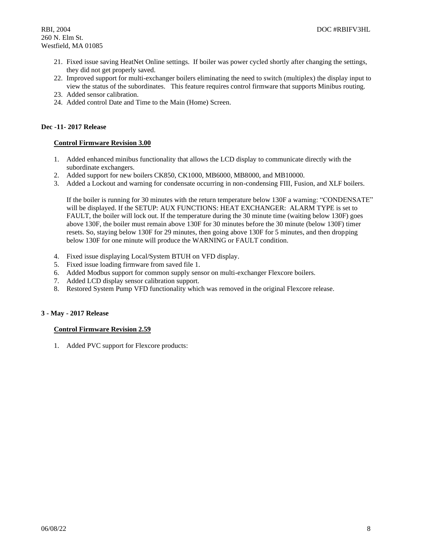- 21. Fixed issue saving HeatNet Online settings. If boiler was power cycled shortly after changing the settings, they did not get properly saved.
- 22. Improved support for multi-exchanger boilers eliminating the need to switch (multiplex) the display input to view the status of the subordinates. This feature requires control firmware that supports Minibus routing.
- 23. Added sensor calibration.
- 24. Added control Date and Time to the Main (Home) Screen.

## **Dec -11- 2017 Release**

## **Control Firmware Revision 3.00**

- 1. Added enhanced minibus functionality that allows the LCD display to communicate directly with the subordinate exchangers.
- 2. Added support for new boilers CK850, CK1000, MB6000, MB8000, and MB10000.
- 3. Added a Lockout and warning for condensate occurring in non-condensing FIII, Fusion, and XLF boilers.

If the boiler is running for 30 minutes with the return temperature below 130F a warning: "CONDENSATE" will be displayed. If the SETUP: AUX FUNCTIONS: HEAT EXCHANGER: ALARM TYPE is set to FAULT, the boiler will lock out. If the temperature during the 30 minute time (waiting below 130F) goes above 130F, the boiler must remain above 130F for 30 minutes before the 30 minute (below 130F) timer resets. So, staying below 130F for 29 minutes, then going above 130F for 5 minutes, and then dropping below 130F for one minute will produce the WARNING or FAULT condition.

- 4. Fixed issue displaying Local/System BTUH on VFD display.
- 5. Fixed issue loading firmware from saved file 1.
- 6. Added Modbus support for common supply sensor on multi-exchanger Flexcore boilers.
- 7. Added LCD display sensor calibration support.
- 8. Restored System Pump VFD functionality which was removed in the original Flexcore release.

## **3 - May - 2017 Release**

## **Control Firmware Revision 2.59**

1. Added PVC support for Flexcore products: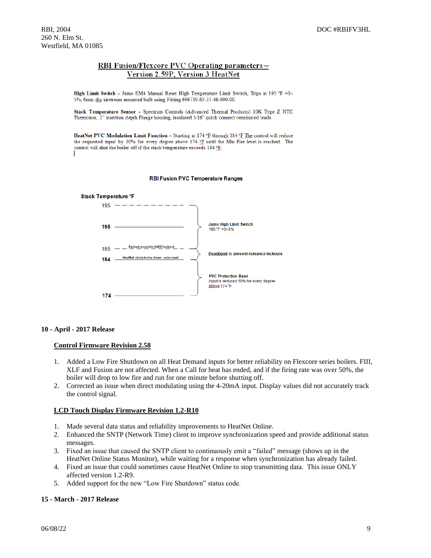## RBI Fusion/Flexcore PVC Operating parameters -Version 2.59P, Version 3 HeatNet

High Limit Switch - Jumo EM4 Manual Reset High Temperature Limit Switch, Trips at 195 °F +0/-5%, 6mm dia airstream mounted bulb using Fitting 606710-65-35-46-000-00.

Stack Temperature Sensor - Spectrum Controls (Advanced Thermal Products) 10K Type Z NTC Thermistor, 2" insertion depth Flange housing, insulated 3/16" quick connect terminated leads.

HeatNet PVC Modulation Limit Function - Starting at 174 °F through 184 °F The control will reduce the requested input by 10% for every degree above 174 °F until the Min Fire level is reached. The control will shut the boiler off if the stack temperature exceeds 184 °F.

#### **RBI Fusion PVC Temperature Ranges**



### **10 - April - 2017 Release**

### **Control Firmware Revision 2.58**

- 1. Added a Low Fire Shutdown on all Heat Demand inputs for better reliability on Flexcore series boilers. FIII, XLF and Fusion are not affected. When a Call for heat has ended, and if the firing rate was over 50%, the boiler will drop to low fire and run for one minute before shutting off.
- 2. Corrected an issue when direct modulating using the 4-20mA input. Display values did not accurately track the control signal.

### **LCD Touch Display Firmware Revision 1.2-R10**

- 1. Made several data status and reliability improvements to HeatNet Online.
- 2. Enhanced the SNTP (Network Time) client to improve synchronization speed and provide additional status messages.
- 3. Fixed an issue that caused the SNTP client to continuously emit a "failed" message (shows up in the HeatNet Online Status Monitor), while waiting for a response when synchronization has already failed.
- 4. Fixed an issue that could sometimes cause HeatNet Online to stop transmitting data. This issue ONLY affected version 1.2-R9.
- 5. Added support for the new "Low Fire Shutdown" status code.

### **15 - March - 2017 Release**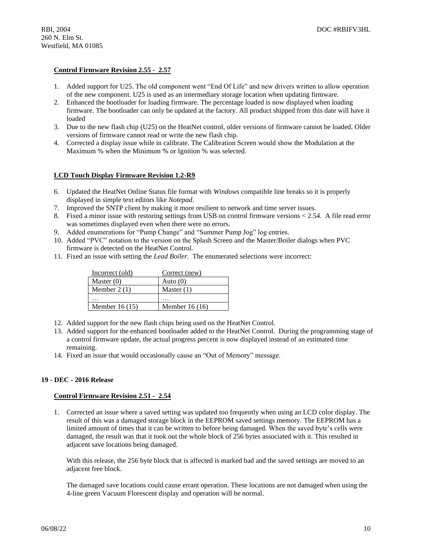## **Control Firmware Revision 2.55 - 2.57**

- 1. Added support for U25. The old component went "End Of Life" and new drivers written to allow operation of the new component. U25 is used as an intermediary storage location when updating firmware.
- 2. Enhanced the bootloader for loading firmware. The percentage loaded is now displayed when loading firmware. The bootloader can only be updated at the factory. All product shipped from this date will have it loaded
- 3. Due to the new flash chip (U25) on the HeatNet control, older versions of firmware cannot be loaded. Older versions of firmware cannot read or write the new flash chip.
- 4. Corrected a display issue while in calibrate. The Calibration Screen would show the Modulation at the Maximum % when the Minimum % or Ignition % was selected.

### **LCD Touch Display Firmware Revision 1.2-R9**

- 6. Updated the HeatNet Online Status file format with *Windows* compatible line breaks so it is properly displayed in simple text editors like *Notepad*.
- 7. Improved the SNTP client by making it more resilient to network and time server issues.
- 8. Fixed a minor issue with restoring settings from USB on control firmware versions < 2.54. A file read error was sometimes displayed even when there were no errors.
- 9. Added enumerations for "Pump Change" and "Summer Pump Jog" log entries.
- 10. Added "PVC" notation to the version on the Splash Screen and the Master/Boiler dialogs when PVC firmware is detected on the HeatNet Control.
- 11. Fixed an issue with setting the *Lead Boiler*. The enumerated selections were incorrect:

| Incorrect (old) | Correct (new)   |
|-----------------|-----------------|
| Master $(0)$    | Auto $(0)$      |
| Member $2(1)$   | Master $(1)$    |
| .               | .               |
| Member $16(15)$ | Member $16(16)$ |

- 12. Added support for the new flash chips being used on the HeatNet Control.
- 13. Added support for the enhanced bootloader added to the HeatNet Control. During the programming stage of a control firmware update, the actual progress percent is now displayed instead of an estimated time remaining.
- 14. Fixed an issue that would occasionally cause an "Out of Memory" message.

## **19 - DEC - 2016 Release**

#### **Control Firmware Revision 2.51 - 2.54**

1. Corrected an issue where a saved setting was updated too frequently when using an LCD color display. The result of this was a damaged storage block in the EEPROM saved settings memory. The EEPROM has a limited amount of times that it can be written to before being damaged. When the saved byte's cells were damaged, the result was that it took out the whole block of 256 bytes associated with it. This resulted in adjacent save locations being damaged.

With this release, the 256 byte block that is affected is marked bad and the saved settings are moved to an adjacent free block.

The damaged save locations could cause errant operation. These locations are not damaged when using the 4-line green Vacuum Florescent display and operation will be normal.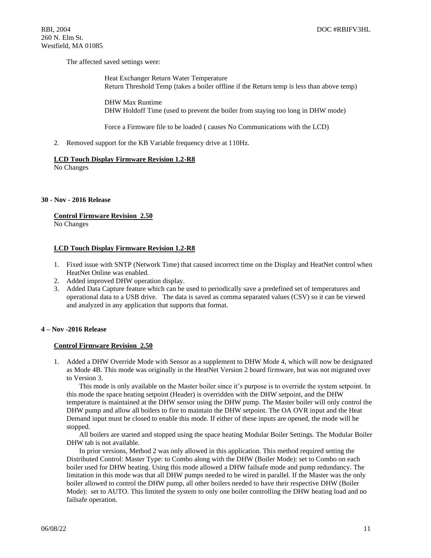The affected saved settings were:

Heat Exchanger Return Water Temperature Return Threshold Temp (takes a boiler offline if the Return temp is less than above temp)

DHW Max Runtime DHW Holdoff Time (used to prevent the boiler from staying too long in DHW mode)

Force a Firmware file to be loaded ( causes No Communications with the LCD)

2. Removed support for the KB Variable frequency drive at 110Hz.

### **LCD Touch Display Firmware Revision 1.2-R8**

No Changes

### **30 - Nov - 2016 Release**

### **Control Firmware Revision 2.50**

No Changes

## **LCD Touch Display Firmware Revision 1.2-R8**

- 1. Fixed issue with SNTP (Network Time) that caused incorrect time on the Display and HeatNet control when HeatNet Online was enabled.
- 2. Added improved DHW operation display.
- 3. Added Data Capture feature which can be used to periodically save a predefined set of temperatures and operational data to a USB drive. The data is saved as comma separated values (CSV) so it can be viewed and analyzed in any application that supports that format.

## **4 – Nov -2016 Release**

### **Control Firmware Revision 2.50**

1. Added a DHW Override Mode with Sensor as a supplement to DHW Mode 4, which will now be designated as Mode 4B. This mode was originally in the HeatNet Version 2 board firmware, but was not migrated over to Version 3.

This mode is only available on the Master boiler since it's purpose is to override the system setpoint. In this mode the space heating setpoint (Header) is overridden with the DHW setpoint, and the DHW temperature is maintained at the DHW sensor using the DHW pump. The Master boiler will only control the DHW pump and allow all boilers to fire to maintain the DHW setpoint. The OA OVR input and the Heat Demand input must be closed to enable this mode. If either of these inputs are opened, the mode will be stopped.

All boilers are started and stopped using the space heating Modular Boiler Settings. The Modular Boiler DHW tab is not available.

In prior versions, Method 2 was only allowed in this application. This method required setting the Distributed Control: Master Type: to Combo along with the DHW (Boiler Mode): set to Combo on each boiler used for DHW heating. Using this mode allowed a DHW failsafe mode and pump redundancy. The limitation in this mode was that all DHW pumps needed to be wired in parallel. If the Master was the only boiler allowed to control the DHW pump, all other boilers needed to have their respective DHW (Boiler Mode): set to AUTO. This limited the system to only one boiler controlling the DHW heating load and no failsafe operation.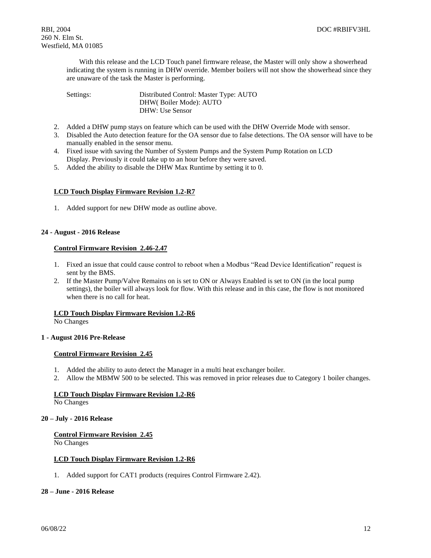With this release and the LCD Touch panel firmware release, the Master will only show a showerhead indicating the system is running in DHW override. Member boilers will not show the showerhead since they are unaware of the task the Master is performing.

| Settings: | Distributed Control: Master Type: AUTO |
|-----------|----------------------------------------|
|           | DHW(Boiler Mode): AUTO                 |
|           | DHW: Use Sensor                        |

- 2. Added a DHW pump stays on feature which can be used with the DHW Override Mode with sensor.
- 3. Disabled the Auto detection feature for the OA sensor due to false detections. The OA sensor will have to be manually enabled in the sensor menu.
- 4. Fixed issue with saving the Number of System Pumps and the System Pump Rotation on LCD Display. Previously it could take up to an hour before they were saved.
- 5. Added the ability to disable the DHW Max Runtime by setting it to 0.

## **LCD Touch Display Firmware Revision 1.2-R7**

1. Added support for new DHW mode as outline above.

## **24 - August - 2016 Release**

## **Control Firmware Revision 2.46-2.47**

- 1. Fixed an issue that could cause control to reboot when a Modbus "Read Device Identification" request is sent by the BMS.
- 2. If the Master Pump/Valve Remains on is set to ON or Always Enabled is set to ON (in the local pump settings), the boiler will always look for flow. With this release and in this case, the flow is not monitored when there is no call for heat.

## **LCD Touch Display Firmware Revision 1.2-R6**

No Changes

## **1 - August 2016 Pre-Release**

## **Control Firmware Revision 2.45**

- 1. Added the ability to auto detect the Manager in a multi heat exchanger boiler.
- 2. Allow the MBMW 500 to be selected. This was removed in prior releases due to Category 1 boiler changes.

## **LCD Touch Display Firmware Revision 1.2-R6**

No Changes

## **20 – July - 2016 Release**

**Control Firmware Revision 2.45**

No Changes

## **LCD Touch Display Firmware Revision 1.2-R6**

1. Added support for CAT1 products (requires Control Firmware 2.42).

## **28 – June - 2016 Release**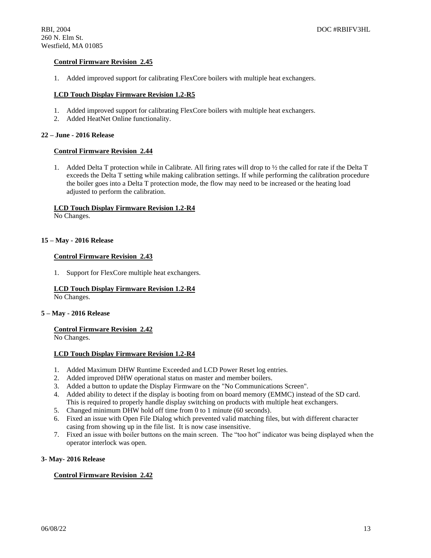## **Control Firmware Revision 2.45**

1. Added improved support for calibrating FlexCore boilers with multiple heat exchangers.

### **LCD Touch Display Firmware Revision 1.2-R5**

- 1. Added improved support for calibrating FlexCore boilers with multiple heat exchangers.
- 2. Added HeatNet Online functionality.

### **22 – June - 2016 Release**

### **Control Firmware Revision 2.44**

1. Added Delta T protection while in Calibrate. All firing rates will drop to ½ the called for rate if the Delta T exceeds the Delta T setting while making calibration settings. If while performing the calibration procedure the boiler goes into a Delta T protection mode, the flow may need to be increased or the heating load adjusted to perform the calibration.

### **LCD Touch Display Firmware Revision 1.2-R4**

No Changes.

### **15 – May - 2016 Release**

### **Control Firmware Revision 2.43**

1. Support for FlexCore multiple heat exchangers.

## **LCD Touch Display Firmware Revision 1.2-R4**

No Changes.

### **5 – May - 2016 Release**

## **Control Firmware Revision 2.42**

No Changes.

## **LCD Touch Display Firmware Revision 1.2-R4**

- 1. Added Maximum DHW Runtime Exceeded and LCD Power Reset log entries.
- 2. Added improved DHW operational status on master and member boilers.
- 3. Added a button to update the Display Firmware on the "No Communications Screen".
- 4. Added ability to detect if the display is booting from on board memory (EMMC) instead of the SD card. This is required to properly handle display switching on products with multiple heat exchangers.
- 5. Changed minimum DHW hold off time from 0 to 1 minute (60 seconds).
- 6. Fixed an issue with Open File Dialog which prevented valid matching files, but with different character casing from showing up in the file list. It is now case insensitive.
- 7. Fixed an issue with boiler buttons on the main screen. The "too hot" indicator was being displayed when the operator interlock was open.

### **3- May- 2016 Release**

## **Control Firmware Revision 2.42**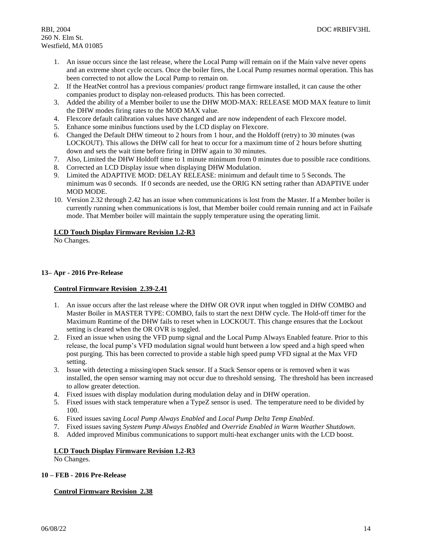- 1. An issue occurs since the last release, where the Local Pump will remain on if the Main valve never opens and an extreme short cycle occurs. Once the boiler fires, the Local Pump resumes normal operation. This has been corrected to not allow the Local Pump to remain on.
- 2. If the HeatNet control has a previous companies/ product range firmware installed, it can cause the other companies product to display non-released products. This has been corrected.
- 3. Added the ability of a Member boiler to use the DHW MOD-MAX: RELEASE MOD MAX feature to limit the DHW modes firing rates to the MOD MAX value.
- 4. Flexcore default calibration values have changed and are now independent of each Flexcore model.
- 5. Enhance some minibus functions used by the LCD display on Flexcore.
- 6. Changed the Default DHW timeout to 2 hours from 1 hour, and the Holdoff (retry) to 30 minutes (was LOCKOUT). This allows the DHW call for heat to occur for a maximum time of 2 hours before shutting down and sets the wait time before firing in DHW again to 30 minutes.
- 7. Also, Limited the DHW Holdoff time to 1 minute minimum from 0 minutes due to possible race conditions.
- 8. Corrected an LCD Display issue when displaying DHW Modulation.
- 9. Limited the ADAPTIVE MOD: DELAY RELEASE: minimum and default time to 5 Seconds. The minimum was 0 seconds. If 0 seconds are needed, use the ORIG KN setting rather than ADAPTIVE under MOD MODE.
- 10. Version 2.32 through 2.42 has an issue when communications is lost from the Master. If a Member boiler is currently running when communications is lost, that Member boiler could remain running and act in Failsafe mode. That Member boiler will maintain the supply temperature using the operating limit.

### **LCD Touch Display Firmware Revision 1.2-R3**

No Changes.

## **13– Apr - 2016 Pre-Release**

## **Control Firmware Revision 2.39-2.41**

- 1. An issue occurs after the last release where the DHW OR OVR input when toggled in DHW COMBO and Master Boiler in MASTER TYPE: COMBO, fails to start the next DHW cycle. The Hold-off timer for the Maximum Runtime of the DHW fails to reset when in LOCKOUT. This change ensures that the Lockout setting is cleared when the OR OVR is toggled.
- 2. Fixed an issue when using the VFD pump signal and the Local Pump Always Enabled feature. Prior to this release, the local pump's VFD modulation signal would hunt between a low speed and a high speed when post purging. This has been corrected to provide a stable high speed pump VFD signal at the Max VFD setting.
- 3. Issue with detecting a missing/open Stack sensor. If a Stack Sensor opens or is removed when it was installed, the open sensor warning may not occur due to threshold sensing. The threshold has been increased to allow greater detection.
- 4. Fixed issues with display modulation during modulation delay and in DHW operation.
- 5. Fixed issues with stack temperature when a TypeZ sensor is used. The temperature need to be divided by 100.
- 6. Fixed issues saving *Local Pump Always Enabled* and *Local Pump Delta Temp Enabled*.
- 7. Fixed issues saving *System Pump Always Enabled* and *Override Enabled in Warm Weather Shutdown*.
- 8. Added improved Minibus communications to support multi-heat exchanger units with the LCD boost.

## **LCD Touch Display Firmware Revision 1.2-R3**

No Changes.

### **10 – FEB - 2016 Pre-Release**

## **Control Firmware Revision 2.38**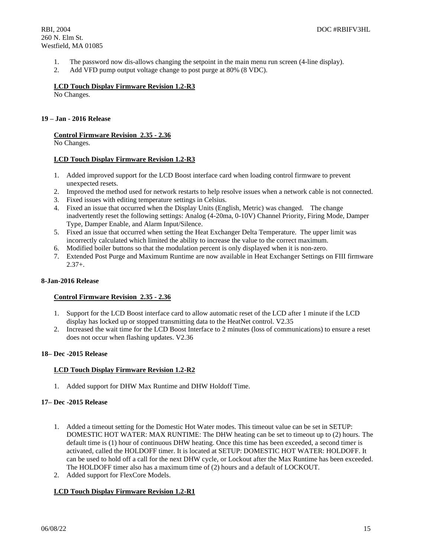- 1. The password now dis-allows changing the setpoint in the main menu run screen (4-line display).
- 2. Add VFD pump output voltage change to post purge at 80% (8 VDC).

### **LCD Touch Display Firmware Revision 1.2-R3**

No Changes.

### **19 – Jan - 2016 Release**

## **Control Firmware Revision 2.35 - 2.36**

No Changes.

### **LCD Touch Display Firmware Revision 1.2-R3**

- 1. Added improved support for the LCD Boost interface card when loading control firmware to prevent unexpected resets.
- 2. Improved the method used for network restarts to help resolve issues when a network cable is not connected.
- 3. Fixed issues with editing temperature settings in Celsius.
- 4. Fixed an issue that occurred when the Display Units (English, Metric) was changed. The change inadvertently reset the following settings: Analog (4-20ma, 0-10V) Channel Priority, Firing Mode, Damper Type, Damper Enable, and Alarm Input/Silence.
- 5. Fixed an issue that occurred when setting the Heat Exchanger Delta Temperature. The upper limit was incorrectly calculated which limited the ability to increase the value to the correct maximum.
- 6. Modified boiler buttons so that the modulation percent is only displayed when it is non-zero.
- 7. Extended Post Purge and Maximum Runtime are now available in Heat Exchanger Settings on FIII firmware  $2.37 +$ .

### **8-Jan-2016 Release**

## **Control Firmware Revision 2.35 - 2.36**

- 1. Support for the LCD Boost interface card to allow automatic reset of the LCD after 1 minute if the LCD display has locked up or stopped transmitting data to the HeatNet control. V2.35
- 2. Increased the wait time for the LCD Boost Interface to 2 minutes (loss of communications) to ensure a reset does not occur when flashing updates. V2.36

## **18– Dec -2015 Release**

## **LCD Touch Display Firmware Revision 1.2-R2**

1. Added support for DHW Max Runtime and DHW Holdoff Time.

### **17– Dec -2015 Release**

- 1. Added a timeout setting for the Domestic Hot Water modes. This timeout value can be set in SETUP: DOMESTIC HOT WATER: MAX RUNTIME: The DHW heating can be set to timeout up to (2) hours. The default time is (1) hour of continuous DHW heating. Once this time has been exceeded, a second timer is activated, called the HOLDOFF timer. It is located at SETUP: DOMESTIC HOT WATER: HOLDOFF. It can be used to hold off a call for the next DHW cycle, or Lockout after the Max Runtime has been exceeded. The HOLDOFF timer also has a maximum time of (2) hours and a default of LOCKOUT.
- 2. Added support for FlexCore Models.

## **LCD Touch Display Firmware Revision 1.2-R1**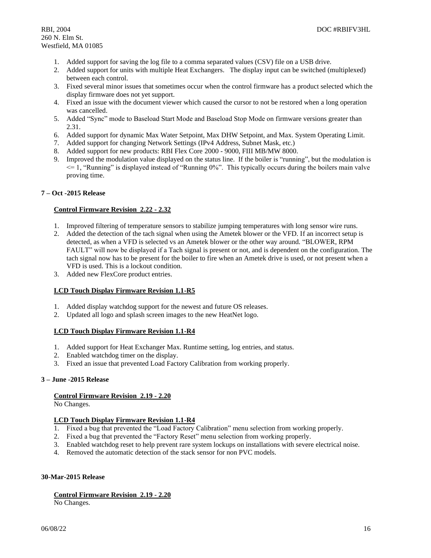- 1. Added support for saving the log file to a comma separated values (CSV) file on a USB drive.
- 2. Added support for units with multiple Heat Exchangers. The display input can be switched (multiplexed) between each control.
- 3. Fixed several minor issues that sometimes occur when the control firmware has a product selected which the display firmware does not yet support.
- 4. Fixed an issue with the document viewer which caused the cursor to not be restored when a long operation was cancelled.
- 5. Added "Sync" mode to Baseload Start Mode and Baseload Stop Mode on firmware versions greater than 2.31.
- 6. Added support for dynamic Max Water Setpoint, Max DHW Setpoint, and Max. System Operating Limit.
- 7. Added support for changing Network Settings (IPv4 Address, Subnet Mask, etc.)
- 8. Added support for new products: RBI Flex Core 2000 9000, FIII MB/MW 8000.
- 9. Improved the modulation value displayed on the status line. If the boiler is "running", but the modulation is  $\leq$  1, "Running" is displayed instead of "Running 0%". This typically occurs during the boilers main valve proving time.

## **7 – Oct -2015 Release**

## **Control Firmware Revision 2.22 - 2.32**

- 1. Improved filtering of temperature sensors to stabilize jumping temperatures with long sensor wire runs.
- 2. Added the detection of the tach signal when using the Ametek blower or the VFD. If an incorrect setup is detected, as when a VFD is selected vs an Ametek blower or the other way around. "BLOWER, RPM FAULT" will now be displayed if a Tach signal is present or not, and is dependent on the configuration. The tach signal now has to be present for the boiler to fire when an Ametek drive is used, or not present when a VFD is used. This is a lockout condition.
- 3. Added new FlexCore product entries.

## **LCD Touch Display Firmware Revision 1.1-R5**

- 1. Added display watchdog support for the newest and future OS releases.
- 2. Updated all logo and splash screen images to the new HeatNet logo.

## **LCD Touch Display Firmware Revision 1.1-R4**

- 1. Added support for Heat Exchanger Max. Runtime setting, log entries, and status.
- 2. Enabled watchdog timer on the display.
- 3. Fixed an issue that prevented Load Factory Calibration from working properly.

### **3 – June -2015 Release**

### **Control Firmware Revision 2.19 - 2.20**

No Changes.

## **LCD Touch Display Firmware Revision 1.1-R4**

- 1. Fixed a bug that prevented the "Load Factory Calibration" menu selection from working properly.
- 2. Fixed a bug that prevented the "Factory Reset" menu selection from working properly.
- 3. Enabled watchdog reset to help prevent rare system lockups on installations with severe electrical noise.
- 4. Removed the automatic detection of the stack sensor for non PVC models.

## **30-Mar-2015 Release**

## **Control Firmware Revision 2.19 - 2.20**

No Changes.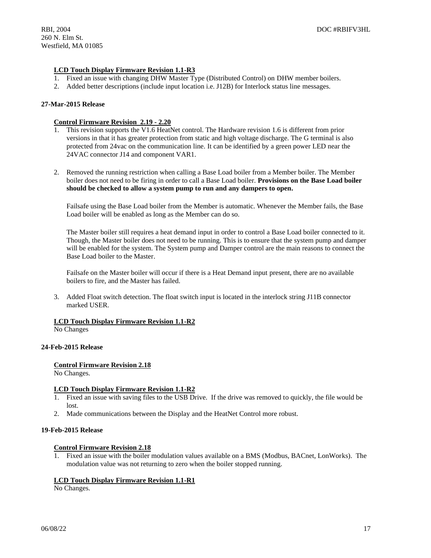## **LCD Touch Display Firmware Revision 1.1-R3**

- 1. Fixed an issue with changing DHW Master Type (Distributed Control) on DHW member boilers.
- 2. Added better descriptions (include input location i.e. J12B) for Interlock status line messages.

### **27-Mar-2015 Release**

### **Control Firmware Revision 2.19 - 2.20**

- 1. This revision supports the V1.6 HeatNet control. The Hardware revision 1.6 is different from prior versions in that it has greater protection from static and high voltage discharge. The G terminal is also protected from 24vac on the communication line. It can be identified by a green power LED near the 24VAC connector J14 and component VAR1.
- 2. Removed the running restriction when calling a Base Load boiler from a Member boiler. The Member boiler does not need to be firing in order to call a Base Load boiler. **Provisions on the Base Load boiler should be checked to allow a system pump to run and any dampers to open.**

Failsafe using the Base Load boiler from the Member is automatic. Whenever the Member fails, the Base Load boiler will be enabled as long as the Member can do so.

The Master boiler still requires a heat demand input in order to control a Base Load boiler connected to it. Though, the Master boiler does not need to be running. This is to ensure that the system pump and damper will be enabled for the system. The System pump and Damper control are the main reasons to connect the Base Load boiler to the Master.

Failsafe on the Master boiler will occur if there is a Heat Demand input present, there are no available boilers to fire, and the Master has failed.

3. Added Float switch detection. The float switch input is located in the interlock string J11B connector marked USER.

## **LCD Touch Display Firmware Revision 1.1-R2**

No Changes

### **24-Feb-2015 Release**

## **Control Firmware Revision 2.18**

No Changes.

### **LCD Touch Display Firmware Revision 1.1-R2**

- 1. Fixed an issue with saving files to the USB Drive. If the drive was removed to quickly, the file would be lost.
- 2. Made communications between the Display and the HeatNet Control more robust.

### **19-Feb-2015 Release**

## **Control Firmware Revision 2.18**

1. Fixed an issue with the boiler modulation values available on a BMS (Modbus, BACnet, LonWorks). The modulation value was not returning to zero when the boiler stopped running.

## **LCD Touch Display Firmware Revision 1.1-R1**

No Changes.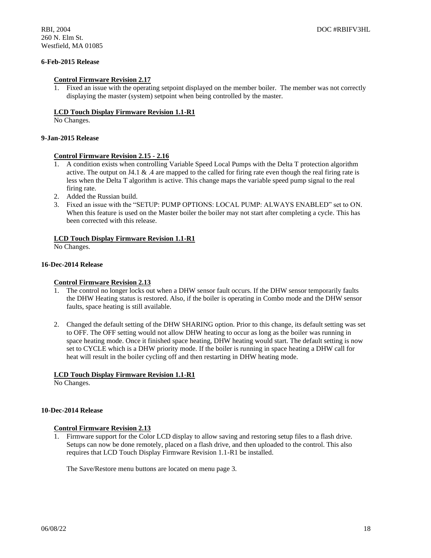## **6-Feb-2015 Release**

### **Control Firmware Revision 2.17**

1. Fixed an issue with the operating setpoint displayed on the member boiler. The member was not correctly displaying the master (system) setpoint when being controlled by the master.

### **LCD Touch Display Firmware Revision 1.1-R1**

No Changes.

### **9-Jan-2015 Release**

#### **Control Firmware Revision 2.15 - 2.16**

- 1. A condition exists when controlling Variable Speed Local Pumps with the Delta T protection algorithm active. The output on J4.1 & .4 are mapped to the called for firing rate even though the real firing rate is less when the Delta T algorithm is active. This change maps the variable speed pump signal to the real firing rate.
- 2. Added the Russian build.
- 3. Fixed an issue with the "SETUP: PUMP OPTIONS: LOCAL PUMP: ALWAYS ENABLED" set to ON. When this feature is used on the Master boiler the boiler may not start after completing a cycle. This has been corrected with this release.

### **LCD Touch Display Firmware Revision 1.1-R1**

No Changes.

### **16-Dec-2014 Release**

### **Control Firmware Revision 2.13**

- 1. The control no longer locks out when a DHW sensor fault occurs. If the DHW sensor temporarily faults the DHW Heating status is restored. Also, if the boiler is operating in Combo mode and the DHW sensor faults, space heating is still available.
- 2. Changed the default setting of the DHW SHARING option. Prior to this change, its default setting was set to OFF. The OFF setting would not allow DHW heating to occur as long as the boiler was running in space heating mode. Once it finished space heating, DHW heating would start. The default setting is now set to CYCLE which is a DHW priority mode. If the boiler is running in space heating a DHW call for heat will result in the boiler cycling off and then restarting in DHW heating mode.

### **LCD Touch Display Firmware Revision 1.1-R1**

No Changes.

#### **10-Dec-2014 Release**

### **Control Firmware Revision 2.13**

1. Firmware support for the Color LCD display to allow saving and restoring setup files to a flash drive. Setups can now be done remotely, placed on a flash drive, and then uploaded to the control. This also requires that LCD Touch Display Firmware Revision 1.1-R1 be installed.

The Save/Restore menu buttons are located on menu page 3.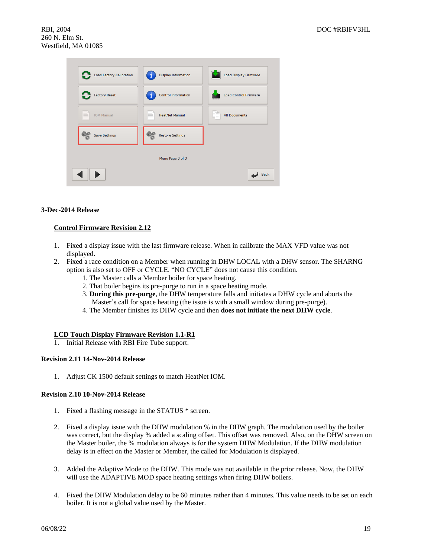| <b>Load Factory Calibration</b> | <b>Display Information</b> | Load Display Firmware        |
|---------------------------------|----------------------------|------------------------------|
| <b>Factory Reset</b>            | <b>Control Information</b> | <b>Load Control Firmware</b> |
| ▇<br><b>IOM Manual</b>          | <b>HeatNet Manual</b><br>B | <b>All Documents</b><br>Œ    |
| <b>Save Settings</b>            | <b>Restore Settings</b>    |                              |
|                                 | Menu Page 3 of 3           |                              |
|                                 |                            | <b>Back</b>                  |

## **3-Dec-2014 Release**

## **Control Firmware Revision 2.12**

- 1. Fixed a display issue with the last firmware release. When in calibrate the MAX VFD value was not displayed.
- 2. Fixed a race condition on a Member when running in DHW LOCAL with a DHW sensor. The SHARNG option is also set to OFF or CYCLE. "NO CYCLE" does not cause this condition.
	- 1. The Master calls a Member boiler for space heating.
	- 2. That boiler begins its pre-purge to run in a space heating mode.
	- 3. **During this pre-purge**, the DHW temperature falls and initiates a DHW cycle and aborts the Master's call for space heating (the issue is with a small window during pre-purge).
	- 4. The Member finishes its DHW cycle and then **does not initiate the next DHW cycle**.

### **LCD Touch Display Firmware Revision 1.1-R1**

1. Initial Release with RBI Fire Tube support.

### **Revision 2.11 14-Nov-2014 Release**

1. Adjust CK 1500 default settings to match HeatNet IOM.

### **Revision 2.10 10-Nov-2014 Release**

- 1. Fixed a flashing message in the STATUS \* screen.
- 2. Fixed a display issue with the DHW modulation % in the DHW graph. The modulation used by the boiler was correct, but the display % added a scaling offset. This offset was removed. Also, on the DHW screen on the Master boiler, the % modulation always is for the system DHW Modulation. If the DHW modulation delay is in effect on the Master or Member, the called for Modulation is displayed.
- 3. Added the Adaptive Mode to the DHW. This mode was not available in the prior release. Now, the DHW will use the ADAPTIVE MOD space heating settings when firing DHW boilers.
- 4. Fixed the DHW Modulation delay to be 60 minutes rather than 4 minutes. This value needs to be set on each boiler. It is not a global value used by the Master.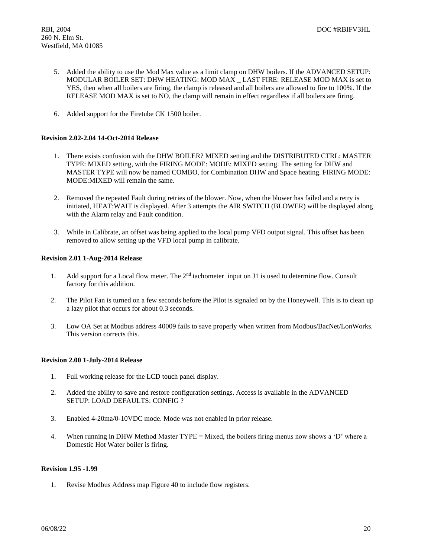- 5. Added the ability to use the Mod Max value as a limit clamp on DHW boilers. If the ADVANCED SETUP: MODULAR BOILER SET: DHW HEATING: MOD MAX \_ LAST FIRE: RELEASE MOD MAX is set to YES, then when all boilers are firing, the clamp is released and all boilers are allowed to fire to 100%. If the RELEASE MOD MAX is set to NO, the clamp will remain in effect regardless if all boilers are firing.
- 6. Added support for the Firetube CK 1500 boiler.

## **Revision 2.02-2.04 14-Oct-2014 Release**

- 1. There exists confusion with the DHW BOILER? MIXED setting and the DISTRIBUTED CTRL: MASTER TYPE: MIXED setting, with the FIRING MODE: MODE: MIXED setting. The setting for DHW and MASTER TYPE will now be named COMBO, for Combination DHW and Space heating. FIRING MODE: MODE:MIXED will remain the same.
- 2. Removed the repeated Fault during retries of the blower. Now, when the blower has failed and a retry is initiated, HEAT:WAIT is displayed. After 3 attempts the AIR SWITCH (BLOWER) will be displayed along with the Alarm relay and Fault condition.
- 3. While in Calibrate, an offset was being applied to the local pump VFD output signal. This offset has been removed to allow setting up the VFD local pump in calibrate.

## **Revision 2.01 1-Aug-2014 Release**

- 1. Add support for a Local flow meter. The  $2<sup>nd</sup>$  tachometer input on J1 is used to determine flow. Consult factory for this addition.
- 2. The Pilot Fan is turned on a few seconds before the Pilot is signaled on by the Honeywell. This is to clean up a lazy pilot that occurs for about 0.3 seconds.
- 3. Low OA Set at Modbus address 40009 fails to save properly when written from Modbus/BacNet/LonWorks. This version corrects this.

### **Revision 2.00 1-July-2014 Release**

- 1. Full working release for the LCD touch panel display.
- 2. Added the ability to save and restore configuration settings. Access is available in the ADVANCED SETUP: LOAD DEFAULTS: CONFIG ?
- 3. Enabled 4-20ma/0-10VDC mode. Mode was not enabled in prior release.
- 4. When running in DHW Method Master TYPE = Mixed, the boilers firing menus now shows a 'D' where a Domestic Hot Water boiler is firing.

## **Revision 1.95 -1.99**

1. Revise Modbus Address map Figure 40 to include flow registers.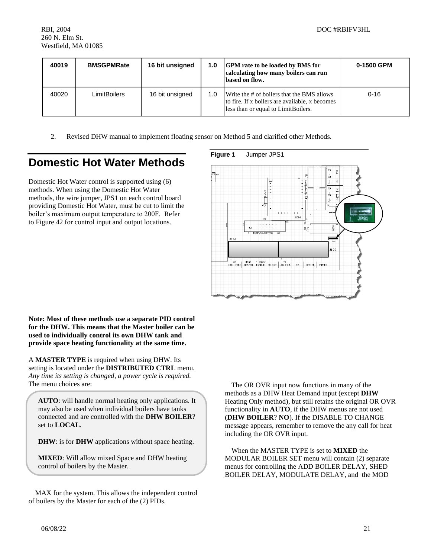| 40019 | <b>BMSGPMRate</b> | 16 bit unsigned | 1.0 | <b>GPM</b> rate to be loaded by BMS for<br>calculating how many boilers can run<br>based on flow.                                   | 0-1500 GPM |
|-------|-------------------|-----------------|-----|-------------------------------------------------------------------------------------------------------------------------------------|------------|
| 40020 | LimitBoilers      | 16 bit unsigned | 1.0 | Write the # of boilers that the BMS allows<br>to fire. If x boilers are available, x becomes<br>less than or equal to LimitBoilers. | $0 - 16$   |

2. Revised DHW manual to implement floating sensor on Method 5 and clarified other Methods.

# **Domestic Hot Water Methods**

Domestic Hot Water control is supported using (6) methods. When using the Domestic Hot Water methods, the wire jumper, JPS1 on each control board providing Domestic Hot Water, must be cut to limit the boiler's maximum output temperature to 200F. Refer to Figure 42 for control input and output locations.

## **Figure 1** Jumper JPS1



**Note: Most of these methods use a separate PID control for the DHW. This means that the Master boiler can be used to individually control its own DHW tank and provide space heating functionality at the same time.**

A **MASTER TYPE** is required when using DHW. Its setting is located under the **DISTRIBUTED CTRL** menu. *Any time its setting is changed, a power cycle is required.* The menu choices are:

**AUTO**: will handle normal heating only applications. It may also be used when individual boilers have tanks connected and are controlled with the **DHW BOILER**? set to **LOCAL**.

**DHW**: is for **DHW** applications without space heating.

**MIXED**: Will allow mixed Space and DHW heating control of boilers by the Master.

MAX for the system. This allows the independent control of boilers by the Master for each of the (2) PIDs.

The OR OVR input now functions in many of the methods as a DHW Heat Demand input (except **DHW** Heating Only method), but still retains the original OR OVR functionality in **AUTO**, if the DHW menus are not used (**DHW BOILER**? **NO**). If the DISABLE TO CHANGE message appears, remember to remove the any call for heat including the OR OVR input.

When the MASTER TYPE is set to **MIXED** the MODULAR BOILER SET menu will contain (2) separate menus for controlling the ADD BOILER DELAY, SHED BOILER DELAY, MODULATE DELAY, and the MOD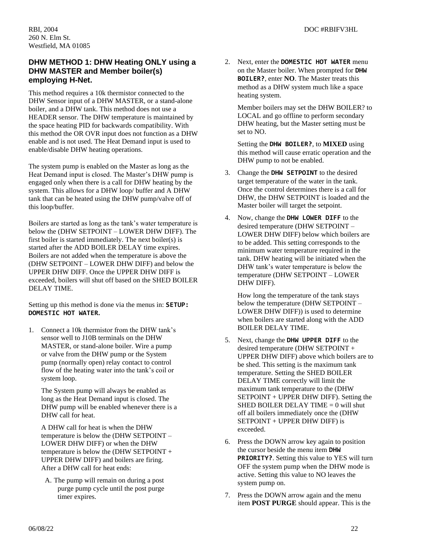## **DHW METHOD 1: DHW Heating ONLY using a DHW MASTER and Member boiler(s) employing H-Net.**

This method requires a 10k thermistor connected to the DHW Sensor input of a DHW MASTER, or a stand-alone boiler, and a DHW tank. This method does not use a HEADER sensor. The DHW temperature is maintained by the space heating PID for backwards compatibility. With this method the OR OVR input does not function as a DHW enable and is not used. The Heat Demand input is used to enable/disable DHW heating operations.

The system pump is enabled on the Master as long as the Heat Demand input is closed. The Master's DHW pump is engaged only when there is a call for DHW heating by the system. This allows for a DHW loop/ buffer and A DHW tank that can be heated using the DHW pump/valve off of this loop/buffer.

Boilers are started as long as the tank's water temperature is below the (DHW SETPOINT – LOWER DHW DIFF). The first boiler is started immediately. The next boiler(s) is started after the ADD BOILER DELAY time expires. Boilers are not added when the temperature is above the (DHW SETPOINT – LOWER DHW DIFF) and below the UPPER DHW DIFF. Once the UPPER DHW DIFF is exceeded, boilers will shut off based on the SHED BOILER DELAY TIME.

Setting up this method is done via the menus in: **SETUP: DOMESTIC HOT WATER.**

1. Connect a 10k thermistor from the DHW tank's sensor well to J10B terminals on the DHW MASTER, or stand-alone boiler. Wire a pump or valve from the DHW pump or the System pump (normally open) relay contact to control flow of the heating water into the tank's coil or system loop.

The System pump will always be enabled as long as the Heat Demand input is closed. The DHW pump will be enabled whenever there is a DHW call for heat.

A DHW call for heat is when the DHW temperature is below the (DHW SETPOINT – LOWER DHW DIFF) or when the DHW temperature is below the (DHW SETPOINT + UPPER DHW DIFF) and boilers are firing. After a DHW call for heat ends:

A. The pump will remain on during a post purge pump cycle until the post purge timer expires.

2. Next, enter the **DOMESTIC HOT WATER** menu on the Master boiler. When prompted for **DHW BOILER?**, enter **NO**. The Master treats this method as a DHW system much like a space heating system.

Member boilers may set the DHW BOILER? to LOCAL and go offline to perform secondary DHW heating, but the Master setting must be set to NO.

Setting the **DHW BOILER?**, to **MIXED** using this method will cause erratic operation and the DHW pump to not be enabled.

- 3. Change the **DHW SETPOINT** to the desired target temperature of the water in the tank. Once the control determines there is a call for DHW, the DHW SETPOINT is loaded and the Master boiler will target the setpoint.
- 4. Now, change the **DHW LOWER DIFF** to the desired temperature (DHW SETPOINT – LOWER DHW DIFF) below which boilers are to be added. This setting corresponds to the minimum water temperature required in the tank. DHW heating will be initiated when the DHW tank's water temperature is below the temperature (DHW SETPOINT – LOWER DHW DIFF).

How long the temperature of the tank stays below the temperature (DHW SETPOINT – LOWER DHW DIFF)) is used to determine when boilers are started along with the ADD BOILER DELAY TIME.

- 5. Next, change the **DHW UPPER DIFF** to the desired temperature (DHW SETPOINT + UPPER DHW DIFF) above which boilers are to be shed. This setting is the maximum tank temperature. Setting the SHED BOILER DELAY TIME correctly will limit the maximum tank temperature to the (DHW SETPOINT + UPPER DHW DIFF). Setting the SHED BOILER DELAY TIME  $= 0$  will shut off all boilers immediately once the (DHW SETPOINT + UPPER DHW DIFF) is exceeded.
- 6. Press the DOWN arrow key again to position the cursor beside the menu item **DHW PRIORITY?**. Setting this value to YES will turn OFF the system pump when the DHW mode is active. Setting this value to NO leaves the system pump on.
- 7. Press the DOWN arrow again and the menu item **POST PURGE** should appear. This is the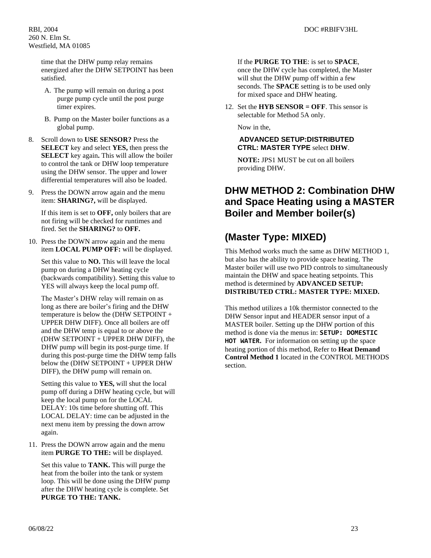time that the DHW pump relay remains energized after the DHW SETPOINT has been satisfied.

- A. The pump will remain on during a post purge pump cycle until the post purge timer expires.
- B. Pump on the Master boiler functions as a global pump.
- 8. Scroll down to **USE SENSOR?** Press the **SELECT** key and select **YES,** then press the **SELECT** key again**.** This will allow the boiler to control the tank or DHW loop temperature using the DHW sensor. The upper and lower differential temperatures will also be loaded.
- 9. Press the DOWN arrow again and the menu item: **SHARING?,** will be displayed.

If this item is set to **OFF,** only boilers that are not firing will be checked for runtimes and fired. Set the **SHARING?** to **OFF.**

10. Press the DOWN arrow again and the menu item **LOCAL PUMP OFF:** will be displayed.

Set this value to **NO.** This will leave the local pump on during a DHW heating cycle (backwards compatibility). Setting this value to YES will always keep the local pump off.

The Master's DHW relay will remain on as long as there are boiler's firing and the DHW temperature is below the (DHW SETPOINT + UPPER DHW DIFF). Once all boilers are off and the DHW temp is equal to or above the (DHW SETPOINT + UPPER DHW DIFF), the DHW pump will begin its post-purge time. If during this post-purge time the DHW temp falls below the (DHW SETPOINT + UPPER DHW DIFF), the DHW pump will remain on.

Setting this value to **YES,** will shut the local pump off during a DHW heating cycle, but will keep the local pump on for the LOCAL DELAY: 10s time before shutting off. This LOCAL DELAY: time can be adjusted in the next menu item by pressing the down arrow again.

11. Press the DOWN arrow again and the menu item **PURGE TO THE:** will be displayed.

Set this value to **TANK.** This will purge the heat from the boiler into the tank or system loop. This will be done using the DHW pump after the DHW heating cycle is complete. Set **PURGE TO THE: TANK.**

If the **PURGE TO THE**: is set to **SPACE**, once the DHW cycle has completed, the Master will shut the DHW pump off within a few seconds. The **SPACE** setting is to be used only for mixed space and DHW heating.

12. Set the **HYB SENSOR = OFF**. This sensor is selectable for Method 5A only.

Now in the,

## **ADVANCED SETUP:DISTRIBUTED CTRL: MASTER TYPE** select **DHW**.

**NOTE:** JPS1 MUST be cut on all boilers providing DHW.

## **DHW METHOD 2: Combination DHW and Space Heating using a MASTER Boiler and Member boiler(s)**

# **(Master Type: MIXED)**

This Method works much the same as DHW METHOD 1, but also has the ability to provide space heating. The Master boiler will use two PID controls to simultaneously maintain the DHW and space heating setpoints. This method is determined by **ADVANCED SETUP: DISTRIBUTED CTRL: MASTER TYPE: MIXED.**

This method utilizes a 10k thermistor connected to the DHW Sensor input and HEADER sensor input of a MASTER boiler. Setting up the DHW portion of this method is done via the menus in: **SETUP: DOMESTIC HOT WATER.** For information on setting up the space heating portion of this method, Refer to **Heat Demand Control Method 1** located in the CONTROL METHODS section.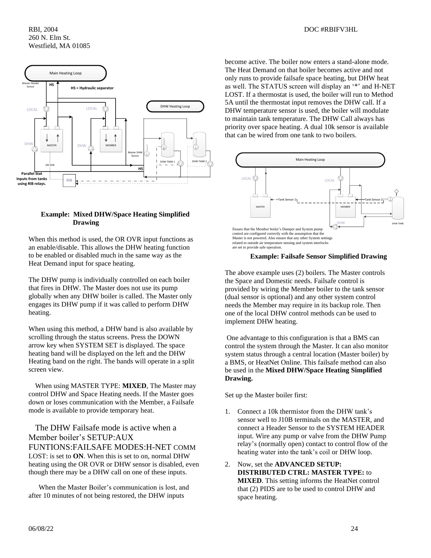

## **Example: Mixed DHW/Space Heating Simplified Drawing**

When this method is used, the OR OVR input functions as an enable/disable. This allows the DHW heating function to be enabled or disabled much in the same way as the Heat Demand input for space heating.

The DHW pump is individually controlled on each boiler that fires in DHW. The Master does not use its pump globally when any DHW boiler is called. The Master only engages its DHW pump if it was called to perform DHW heating.

When using this method, a DHW band is also available by scrolling through the status screens. Press the DOWN arrow key when SYSTEM SET is displayed. The space heating band will be displayed on the left and the DHW Heating band on the right. The bands will operate in a split screen view.

When using MASTER TYPE: **MIXED**, The Master may control DHW and Space Heating needs. If the Master goes down or loses communication with the Member, a Failsafe mode is available to provide temporary heat.

The DHW Failsafe mode is active when a Member boiler's SETUP:AUX FUNTIONS:FAILSAFE MODES:H-NET COMM LOST: is set to **ON**. When this is set to on, normal DHW heating using the OR OVR or DHW sensor is disabled, even though there may be a DHW call on one of these inputs.

 When the Master Boiler's communication is lost, and after 10 minutes of not being restored, the DHW inputs

become active. The boiler now enters a stand-alone mode. The Heat Demand on that boiler becomes active and not only runs to provide failsafe space heating, but DHW heat as well. The STATUS screen will display an '\*' and H-NET LOST. If a thermostat is used, the boiler will run to Method 5A until the thermostat input removes the DHW call. If a DHW temperature sensor is used, the boiler will modulate to maintain tank temperature. The DHW Call always has priority over space heating. A dual 10k sensor is available that can be wired from one tank to two boilers.



## **Example: Failsafe Sensor Simplified Drawing**

The above example uses (2) boilers. The Master controls the Space and Domestic needs. Failsafe control is provided by wiring the Member boiler to the tank sensor (dual sensor is optional) and any other system control needs the Member may require in its backup role. Then one of the local DHW control methods can be used to implement DHW heating.

One advantage to this configuration is that a BMS can control the system through the Master. It can also monitor system status through a central location (Master boiler) by a BMS, or HeatNet Online. This failsafe method can also be used in the **Mixed DHW/Space Heating Simplified Drawing.**

Set up the Master boiler first:

- 1. Connect a 10k thermistor from the DHW tank's sensor well to J10B terminals on the MASTER, and connect a Header Sensor to the SYSTEM HEADER input. Wire any pump or valve from the DHW Pump relay's (normally open) contact to control flow of the heating water into the tank's coil or DHW loop.
- 2. Now, set the **ADVANCED SETUP: DISTRIBUTED CTRL: MASTER TYPE:** to **MIXED**. This setting informs the HeatNet control that (2) PIDS are to be used to control DHW and space heating.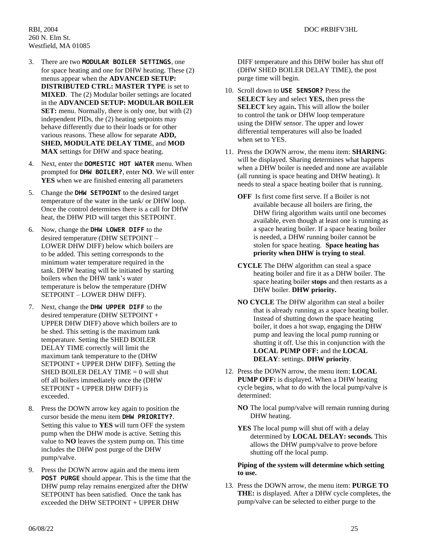- 3. There are two **MODULAR BOILER SETTINGS**, one for space heating and one for DHW heating. These (2) menus appear when the **ADVANCED SETUP: DISTRIBUTED CTRL: MASTER TYPE** is set to **MIXED**. The (2) Modular boiler settings are located in the **ADVANCED SETUP: MODULAR BOILER SET:** menu. Normally, there is only one, but with (2) independent PIDs, the (2) heating setpoints may behave differently due to their loads or for other various reasons. These allow for separate **ADD, SHED, MODULATE DELAY TIME**, and **MOD MAX** settings for DHW and space heating.
- 4. Next, enter the **DOMESTIC HOT WATER** menu. When prompted for **DHW BOILER?**, enter **NO**. We will enter **YES** when we are finished entering all parameters
- 5. Change the **DHW SETPOINT** to the desired target temperature of the water in the tank/ or DHW loop. Once the control determines there is a call for DHW heat, the DHW PID will target this SETPOINT.
- 6. Now, change the **DHW LOWER DIFF** to the desired temperature (DHW SETPOINT – LOWER DHW DIFF) below which boilers are to be added. This setting corresponds to the minimum water temperature required in the tank. DHW heating will be initiated by starting boilers when the DHW tank's water temperature is below the temperature (DHW SETPOINT – LOWER DHW DIFF).
- 7. Next, change the **DHW UPPER DIFF** to the desired temperature (DHW SETPOINT + UPPER DHW DIFF) above which boilers are to be shed. This setting is the maximum tank temperature. Setting the SHED BOILER DELAY TIME correctly will limit the maximum tank temperature to the (DHW SETPOINT + UPPER DHW DIFF). Setting the SHED BOILER DELAY TIME  $= 0$  will shut off all boilers immediately once the (DHW SETPOINT + UPPER DHW DIFF) is exceeded.
- 8. Press the DOWN arrow key again to position the cursor beside the menu item **DHW PRIORITY?**. Setting this value to **YES** will turn OFF the system pump when the DHW mode is active. Setting this value to **NO** leaves the system pump on. This time includes the DHW post purge of the DHW pump/valve.
- 9. Press the DOWN arrow again and the menu item **POST PURGE** should appear. This is the time that the DHW pump relay remains energized after the DHW SETPOINT has been satisfied. Once the tank has exceeded the DHW SETPOINT + UPPER DHW

DIFF temperature and this DHW boiler has shut off (DHW SHED BOILER DELAY TIME), the post purge time will begin.

- 10. Scroll down to **USE SENSOR?** Press the **SELECT** key and select **YES,** then press the **SELECT** key again**.** This will allow the boiler to control the tank or DHW loop temperature using the DHW sensor. The upper and lower differential temperatures will also be loaded when set to YES.
- 11. Press the DOWN arrow, the menu item: **SHARING**: will be displayed. Sharing determines what happens when a DHW boiler is needed and none are available (all running is space heating and DHW heating). It needs to steal a space heating boiler that is running.
	- **OFF** Is first come first serve. If a Boiler is not available because all boilers are firing, the DHW firing algorithm waits until one becomes available, even though at least one is running as a space heating boiler. If a space heating boiler is needed, a DHW running boiler cannot be stolen for space heating. **Space heating has priority when DHW is trying to steal**.
	- **CYCLE** The DHW algorithm can steal a space heating boiler and fire it as a DHW boiler. The space heating boiler **stops** and then restarts as a DHW boiler. **DHW priority.**
	- **NO CYCLE** The DHW algorithm can steal a boiler that is already running as a space heating boiler. Instead of shutting down the space heating boiler, it does a hot swap, engaging the DHW pump and leaving the local pump running or shutting it off. Use this in conjunction with the **LOCAL PUMP OFF:** and the **LOCAL DELAY**: settings. **DHW priority**.
- 12. Press the DOWN arrow, the menu item: **LOCAL PUMP OFF:** is displayed. When a DHW heating cycle begins, what to do with the local pump/valve is determined:
	- **NO** The local pump/valve will remain running during DHW heating.
	- **YES** The local pump will shut off with a delay determined by **LOCAL DELAY: seconds.** This allows the DHW pump/valve to prove before shutting off the local pump.

## **Piping of the system will determine which setting to use.**

13. Press the DOWN arrow, the menu item: **PURGE TO THE:** is displayed. After a DHW cycle completes, the pump/valve can be selected to either purge to the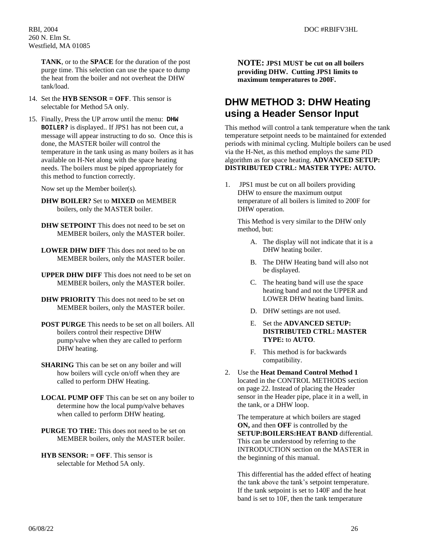**TANK**, or to the **SPACE** for the duration of the post purge time. This selection can use the space to dump the heat from the boiler and not overheat the DHW tank/load.

- 14. Set the **HYB SENSOR = OFF**. This sensor is selectable for Method 5A only.
- 15. Finally, Press the UP arrow until the menu: **DHW BOILER?** is displayed.. If JPS1 has not been cut, a message will appear instructing to do so. Once this is done, the MASTER boiler will control the temperature in the tank using as many boilers as it has available on H-Net along with the space heating needs. The boilers must be piped appropriately for this method to function correctly.

Now set up the Member boiler(s).

- **DHW BOILER?** Set to **MIXED** on MEMBER boilers, only the MASTER boiler.
- **DHW SETPOINT** This does not need to be set on MEMBER boilers, only the MASTER boiler.
- **LOWER DHW DIFF** This does not need to be on MEMBER boilers, only the MASTER boiler.
- **UPPER DHW DIFF** This does not need to be set on MEMBER boilers, only the MASTER boiler.
- **DHW PRIORITY** This does not need to be set on MEMBER boilers, only the MASTER boiler.
- **POST PURGE** This needs to be set on all boilers. All boilers control their respective DHW pump/valve when they are called to perform DHW heating.
- **SHARING** This can be set on any boiler and will how boilers will cycle on/off when they are called to perform DHW Heating.
- **LOCAL PUMP OFF** This can be set on any boiler to determine how the local pump/valve behaves when called to perform DHW heating.
- **PURGE TO THE:** This does not need to be set on MEMBER boilers, only the MASTER boiler.
- **HYB SENSOR: = OFF**. This sensor is selectable for Method 5A only.

**NOTE: JPS1 MUST be cut on all boilers providing DHW. Cutting JPS1 limits to maximum temperatures to 200F.**

## **DHW METHOD 3: DHW Heating using a Header Sensor Input**

This method will control a tank temperature when the tank temperature setpoint needs to be maintained for extended periods with minimal cycling. Multiple boilers can be used via the H-Net, as this method employs the same PID algorithm as for space heating. **ADVANCED SETUP: DISTRIBUTED CTRL: MASTER TYPE: AUTO.**

1. JPS1 must be cut on all boilers providing DHW to ensure the maximum output temperature of all boilers is limited to 200F for DHW operation.

This Method is very similar to the DHW only method, but:

- A. The display will not indicate that it is a DHW heating boiler.
- B. The DHW Heating band will also not be displayed.
- C. The heating band will use the space heating band and not the UPPER and LOWER DHW heating band limits.
- D. DHW settings are not used.
- E. Set the **ADVANCED SETUP: DISTRIBUTED CTRL: MASTER TYPE:** to **AUTO**.
- F. This method is for backwards compatibility.
- 2. Use the **Heat Demand Control Method 1** located in the CONTROL METHODS section on page 22. Instead of placing the Header sensor in the Header pipe, place it in a well, in the tank, or a DHW loop.

The temperature at which boilers are staged **ON,** and then **OFF** is controlled by the **SETUP:BOILERS:HEAT BAND** differential. This can be understood by referring to the INTRODUCTION section on the MASTER in the beginning of this manual.

This differential has the added effect of heating the tank above the tank's setpoint temperature. If the tank setpoint is set to 140F and the heat band is set to 10F, then the tank temperature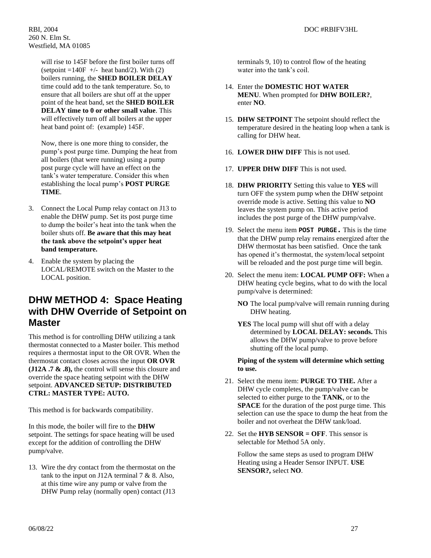will rise to 145F before the first boiler turns off (setpoint  $=140F$  +/- heat band/2). With (2) boilers running, the **SHED BOILER DELAY** time could add to the tank temperature. So, to ensure that all boilers are shut off at the upper point of the heat band, set the **SHED BOILER DELAY time to 0 or other small value**. This will effectively turn off all boilers at the upper heat band point of: (example) 145F.

Now, there is one more thing to consider, the pump's post purge time. Dumping the heat from all boilers (that were running) using a pump post purge cycle will have an effect on the tank's water temperature. Consider this when establishing the local pump's **POST PURGE TIME**.

- 3. Connect the Local Pump relay contact on J13 to enable the DHW pump. Set its post purge time to dump the boiler's heat into the tank when the boiler shuts off. **Be aware that this may heat the tank above the setpoint's upper heat band temperature.**
- 4. Enable the system by placing the LOCAL/REMOTE switch on the Master to the LOCAL position.

## **DHW METHOD 4: Space Heating with DHW Override of Setpoint on Master**

This method is for controlling DHW utilizing a tank thermostat connected to a Master boiler. This method requires a thermostat input to the OR OVR. When the thermostat contact closes across the input **OR OVR (J12A .7 & .8),** the control will sense this closure and override the space heating setpoint with the DHW setpoint. **ADVANCED SETUP: DISTRIBUTED CTRL: MASTER TYPE: AUTO.**

This method is for backwards compatibility.

In this mode, the boiler will fire to the **DHW** setpoint. The settings for space heating will be used except for the addition of controlling the DHW pump/valve.

13. Wire the dry contact from the thermostat on the tank to the input on J12A terminal 7 & 8. Also, at this time wire any pump or valve from the DHW Pump relay (normally open) contact (J13

terminals 9, 10) to control flow of the heating water into the tank's coil.

- 14. Enter the **DOMESTIC HOT WATER MENU**. When prompted for **DHW BOILER?**, enter **NO**.
- 15. **DHW SETPOINT** The setpoint should reflect the temperature desired in the heating loop when a tank is calling for DHW heat.
- 16. **LOWER DHW DIFF** This is not used.
- 17. **UPPER DHW DIFF** This is not used.
- 18. **DHW PRIORITY** Setting this value to **YES** will turn OFF the system pump when the DHW setpoint override mode is active. Setting this value to **NO** leaves the system pump on. This active period includes the post purge of the DHW pump/valve.
- 19. Select the menu item **POST PURGE.** This is the time that the DHW pump relay remains energized after the DHW thermostat has been satisfied. Once the tank has opened it's thermostat, the system/local setpoint will be reloaded and the post purge time will begin.
- 20. Select the menu item: **LOCAL PUMP OFF:** When a DHW heating cycle begins, what to do with the local pump/valve is determined:
	- **NO** The local pump/valve will remain running during DHW heating.
	- **YES** The local pump will shut off with a delay determined by **LOCAL DELAY: seconds.** This allows the DHW pump/valve to prove before shutting off the local pump.

**Piping of the system will determine which setting to use.**

- 21. Select the menu item: **PURGE TO THE.** After a DHW cycle completes, the pump/valve can be selected to either purge to the **TANK**, or to the **SPACE** for the duration of the post purge time. This selection can use the space to dump the heat from the boiler and not overheat the DHW tank/load.
- 22. Set the **HYB SENSOR = OFF**. This sensor is selectable for Method 5A only.

Follow the same steps as used to program DHW Heating using a Header Sensor INPUT. **USE SENSOR?,** select **NO**.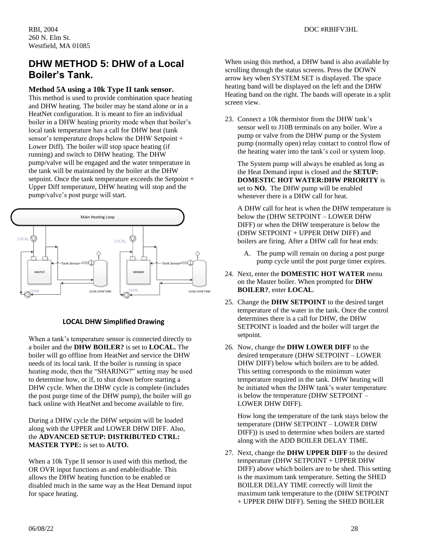## **DHW METHOD 5: DHW of a Local Boiler's Tank.**

## **Method 5A using a 10k Type II tank sensor.**

This method is used to provide combination space heating and DHW heating. The boiler may be stand alone or in a HeatNet configuration. It is meant to fire an individual boiler in a DHW heating priority mode when that boiler's local tank temperature has a call for DHW heat (tank sensor's temperature drops below the DHW Setpoint + Lower Diff). The boiler will stop space heating (if running) and switch to DHW heating. The DHW pump/valve will be engaged and the water temperature in the tank will be maintained by the boiler at the DHW setpoint. Once the tank temperature exceeds the Setpoint + Upper Diff temperature, DHW heating will stop and the pump/valve's post purge will start.



## **LOCAL DHW Simplified Drawing**

When a tank's temperature sensor is connected directly to a boiler and the **DHW BOILER?** is set to **LOCAL.** The boiler will go offline from HeatNet and service the DHW needs of its local tank. If the boiler is running in space heating mode, then the "SHARING?" setting may be used to determine how, or if, to shut down before starting a DHW cycle. When the DHW cycle is complete (includes the post purge time of the DHW pump), the boiler will go back online with HeatNet and become available to fire.

During a DHW cycle the DHW setpoint will be loaded along with the UPPER and LOWER DHW DIFF. Also, the **ADVANCED SETUP: DISTRIBUTED CTRL: MASTER TYPE:** is set to **AUTO.** 

When a 10k Type II sensor is used with this method, the OR OVR input functions as and enable/disable. This allows the DHW heating function to be enabled or disabled much in the same way as the Heat Demand input for space heating.

When using this method, a DHW band is also available by scrolling through the status screens. Press the DOWN arrow key when SYSTEM SET is displayed. The space heating band will be displayed on the left and the DHW Heating band on the right. The bands will operate in a split screen view.

23. Connect a 10k thermistor from the DHW tank's sensor well to J10B terminals on any boiler. Wire a pump or valve from the DHW pump or the System pump (normally open) relay contact to control flow of the heating water into the tank's coil or system loop.

The System pump will always be enabled as long as the Heat Demand input is closed and the **SETUP: DOMESTIC HOT WATER:DHW PRIORITY** is set to **NO.** The DHW pump will be enabled whenever there is a DHW call for heat.

A DHW call for heat is when the DHW temperature is below the (DHW SETPOINT – LOWER DHW DIFF) or when the DHW temperature is below the (DHW SETPOINT + UPPER DHW DIFF) and boilers are firing. After a DHW call for heat ends:

- A. The pump will remain on during a post purge pump cycle until the post purge timer expires.
- 24. Next, enter the **DOMESTIC HOT WATER** menu on the Master boiler. When prompted for **DHW BOILER?**, enter **LOCAL**.
- 25. Change the **DHW SETPOINT** to the desired target temperature of the water in the tank. Once the control determines there is a call for DHW, the DHW SETPOINT is loaded and the boiler will target the setpoint.
- 26. Now, change the **DHW LOWER DIFF** to the desired temperature (DHW SETPOINT – LOWER DHW DIFF) below which boilers are to be added. This setting corresponds to the minimum water temperature required in the tank. DHW heating will be initiated when the DHW tank's water temperature is below the temperature (DHW SETPOINT – LOWER DHW DIFF).

How long the temperature of the tank stays below the temperature (DHW SETPOINT – LOWER DHW DIFF)) is used to determine when boilers are started along with the ADD BOILER DELAY TIME.

27. Next, change the **DHW UPPER DIFF** to the desired temperature (DHW SETPOINT + UPPER DHW DIFF) above which boilers are to be shed. This setting is the maximum tank temperature. Setting the SHED BOILER DELAY TIME correctly will limit the maximum tank temperature to the (DHW SETPOINT + UPPER DHW DIFF). Setting the SHED BOILER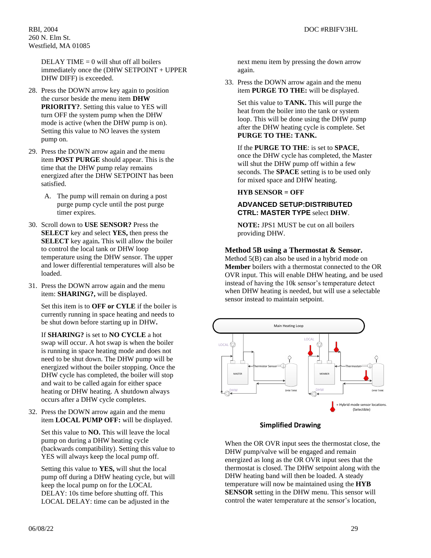DELAY TIME  $= 0$  will shut off all boilers immediately once the (DHW SETPOINT + UPPER DHW DIFF) is exceeded.

- 28. Press the DOWN arrow key again to position the cursor beside the menu item **DHW PRIORITY?**. Setting this value to YES will turn OFF the system pump when the DHW mode is active (when the DHW pump is on). Setting this value to NO leaves the system pump on.
- 29. Press the DOWN arrow again and the menu item **POST PURGE** should appear. This is the time that the DHW pump relay remains energized after the DHW SETPOINT has been satisfied.
	- A. The pump will remain on during a post purge pump cycle until the post purge timer expires.
- 30. Scroll down to **USE SENSOR?** Press the **SELECT** key and select **YES,** then press the **SELECT** key again**.** This will allow the boiler to control the local tank or DHW loop temperature using the DHW sensor. The upper and lower differential temperatures will also be loaded.
- 31. Press the DOWN arrow again and the menu item: **SHARING?,** will be displayed.

Set this item is to **OFF or CYLE** if the boiler is currently running in space heating and needs to be shut down before starting up in DHW**.** 

If **SHARING?** is set to **NO CYCLE** a hot swap will occur. A hot swap is when the boiler is running in space heating mode and does not need to be shut down. The DHW pump will be energized without the boiler stopping. Once the DHW cycle has completed, the boiler will stop and wait to be called again for either space heating or DHW heating. A shutdown always occurs after a DHW cycle completes.

32. Press the DOWN arrow again and the menu item **LOCAL PUMP OFF:** will be displayed.

Set this value to **NO.** This will leave the local pump on during a DHW heating cycle (backwards compatibility). Setting this value to YES will always keep the local pump off.

Setting this value to **YES,** will shut the local pump off during a DHW heating cycle, but will keep the local pump on for the LOCAL DELAY: 10s time before shutting off. This LOCAL DELAY: time can be adjusted in the

next menu item by pressing the down arrow again.

33. Press the DOWN arrow again and the menu item **PURGE TO THE:** will be displayed.

Set this value to **TANK.** This will purge the heat from the boiler into the tank or system loop. This will be done using the DHW pump after the DHW heating cycle is complete. Set **PURGE TO THE: TANK.**

If the **PURGE TO THE**: is set to **SPACE**, once the DHW cycle has completed, the Master will shut the DHW pump off within a few seconds. The **SPACE** setting is to be used only for mixed space and DHW heating.

## **HYB SENSOR = OFF**

## **ADVANCED SETUP:DISTRIBUTED CTRL: MASTER TYPE** select **DHW**.

**NOTE:** JPS1 MUST be cut on all boilers providing DHW.

### **Method 5B using a Thermostat & Sensor.**

Method 5(B) can also be used in a hybrid mode on **Member** boilers with a thermostat connected to the OR OVR input. This will enable DHW heating, and be used instead of having the 10k sensor's temperature detect when DHW heating is needed, but will use a selectable sensor instead to maintain setpoint.



### **Simplified Drawing**

When the OR OVR input sees the thermostat close, the DHW pump/valve will be engaged and remain energized as long as the OR OVR input sees that the thermostat is closed. The DHW setpoint along with the DHW heating band will then be loaded. A steady temperature will now be maintained using the **HYB SENSOR** setting in the DHW menu. This sensor will control the water temperature at the sensor's location,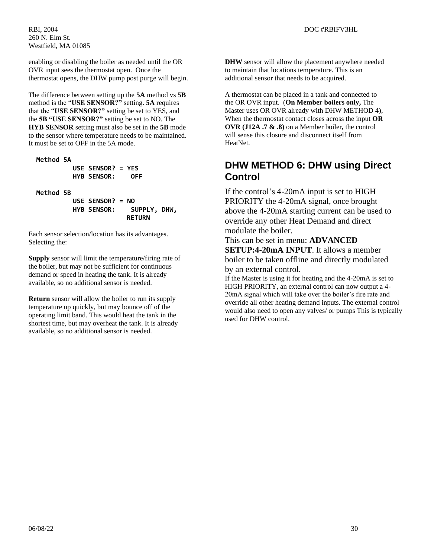enabling or disabling the boiler as needed until the OR OVR input sees the thermostat open. Once the thermostat opens, the DHW pump post purge will begin.

The difference between setting up the **5A** method vs **5B** method is the "**USE SENSOR?"** setting. **5A** requires that the "**USE SENSOR?"** setting be set to YES, and the **5B "USE SENSOR?"** setting be set to NO. The **HYB SENSOR** setting must also be set in the **5B** mode to the sensor where temperature needs to be maintained. It must be set to OFF in the 5A mode.

 **Method 5A USE SENSOR? = YES HYB SENSOR: OFF Method 5B** 

**USE SENSOR? = NO HYB SENSOR: SUPPLY, DHW, RETURN**

Each sensor selection/location has its advantages. Selecting the:

**Supply** sensor will limit the temperature/firing rate of the boiler, but may not be sufficient for continuous demand or speed in heating the tank. It is already available, so no additional sensor is needed.

**Return** sensor will allow the boiler to run its supply temperature up quickly, but may bounce off of the operating limit band. This would heat the tank in the shortest time, but may overheat the tank. It is already available, so no additional sensor is needed.

**DHW** sensor will allow the placement anywhere needed to maintain that locations temperature. This is an additional sensor that needs to be acquired.

A thermostat can be placed in a tank and connected to the OR OVR input. (**On Member boilers only,** The Master uses OR OVR already with DHW METHOD 4), When the thermostat contact closes across the input **OR OVR (J12A .7 & .8)** on a Member boiler**,** the control will sense this closure and disconnect itself from HeatNet.

## **DHW METHOD 6: DHW using Direct Control**

If the control's 4-20mA input is set to HIGH PRIORITY the 4-20mA signal, once brought above the 4-20mA starting current can be used to override any other Heat Demand and direct modulate the boiler.

This can be set in menu: **ADVANCED SETUP:4-20mA INPUT**. It allows a member boiler to be taken offline and directly modulated by an external control.

If the Master is using it for heating and the 4-20mA is set to HIGH PRIORITY, an external control can now output a 4- 20mA signal which will take over the boiler's fire rate and override all other heating demand inputs. The external control would also need to open any valves/ or pumps This is typically used for DHW control.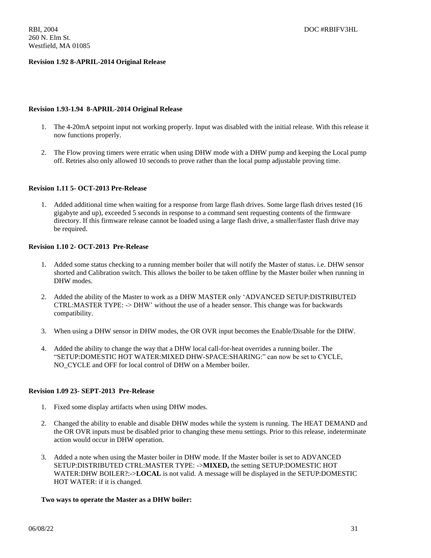## **Revision 1.92 8-APRIL-2014 Original Release**

### **Revision 1.93-1.94 8-APRIL-2014 Original Release**

- 1. The 4-20mA setpoint input not working properly. Input was disabled with the initial release. With this release it now functions properly.
- 2. The Flow proving timers were erratic when using DHW mode with a DHW pump and keeping the Local pump off. Retries also only allowed 10 seconds to prove rather than the local pump adjustable proving time.

### **Revision 1.11 5- OCT-2013 Pre-Release**

1. Added additional time when waiting for a response from large flash drives. Some large flash drives tested (16 gigabyte and up), exceeded 5 seconds in response to a command sent requesting contents of the firmware directory. If this firmware release cannot be loaded using a large flash drive, a smaller/faster flash drive may be required.

### **Revision 1.10 2- OCT-2013 Pre-Release**

- 1. Added some status checking to a running member boiler that will notify the Master of status. i.e. DHW sensor shorted and Calibration switch. This allows the boiler to be taken offline by the Master boiler when running in DHW modes.
- 2. Added the ability of the Master to work as a DHW MASTER only 'ADVANCED SETUP:DISTRIBUTED CTRL:MASTER TYPE: -> DHW' without the use of a header sensor. This change was for backwards compatibility.
- 3. When using a DHW sensor in DHW modes, the OR OVR input becomes the Enable/Disable for the DHW.
- 4. Added the ability to change the way that a DHW local call-for-heat overrides a running boiler. The "SETUP:DOMESTIC HOT WATER:MIXED DHW-SPACE:SHARING:" can now be set to CYCLE, NO CYCLE and OFF for local control of DHW on a Member boiler.

### **Revision 1.09 23- SEPT-2013 Pre-Release**

- 1. Fixed some display artifacts when using DHW modes.
- 2. Changed the ability to enable and disable DHW modes while the system is running. The HEAT DEMAND and the OR OVR inputs must be disabled prior to changing these menu settings. Prior to this release, indeterminate action would occur in DHW operation.
- 3. Added a note when using the Master boiler in DHW mode. If the Master boiler is set to ADVANCED SETUP:DISTRIBUTED CTRL:MASTER TYPE: ->**MIXED,** the setting SETUP:DOMESTIC HOT WATER:DHW BOILER?:->**LOCAL** is not valid. A message will be displayed in the SETUP:DOMESTIC HOT WATER: if it is changed.

## **Two ways to operate the Master as a DHW boiler:**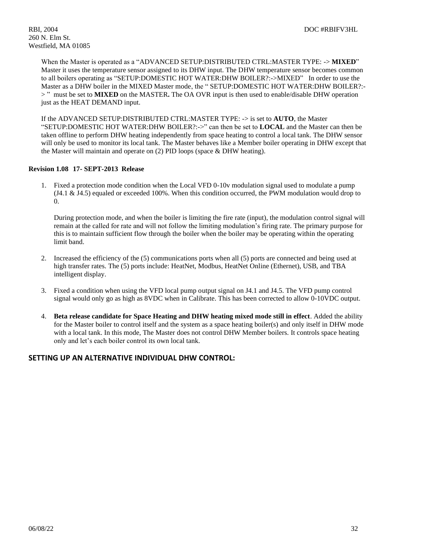When the Master is operated as a "ADVANCED SETUP:DISTRIBUTED CTRL:MASTER TYPE: -> **MIXED**" Master it uses the temperature sensor assigned to its DHW input. The DHW temperature sensor becomes common to all boilers operating as "SETUP:DOMESTIC HOT WATER:DHW BOILER?:->MIXED"In order to use the Master as a DHW boiler in the MIXED Master mode, the " SETUP:DOMESTIC HOT WATER:DHW BOILER?:- > "must be set to **MIXED** on the MASTER**.** The OA OVR input is then used to enable/disable DHW operation just as the HEAT DEMAND input.

If the ADVANCED SETUP:DISTRIBUTED CTRL:MASTER TYPE: -> is set to **AUTO**, the Master "SETUP:DOMESTIC HOT WATER:DHW BOILER?:->" can then be set to **LOCAL** and the Master can then be taken offline to perform DHW heating independently from space heating to control a local tank. The DHW sensor will only be used to monitor its local tank. The Master behaves like a Member boiler operating in DHW except that the Master will maintain and operate on (2) PID loops (space & DHW heating).

### **Revision 1.08 17- SEPT-2013 Release**

1. Fixed a protection mode condition when the Local VFD 0-10v modulation signal used to modulate a pump (J4.1 & J4.5) equaled or exceeded 100%. When this condition occurred, the PWM modulation would drop to 0.

During protection mode, and when the boiler is limiting the fire rate (input), the modulation control signal will remain at the called for rate and will not follow the limiting modulation's firing rate. The primary purpose for this is to maintain sufficient flow through the boiler when the boiler may be operating within the operating limit band.

- 2. Increased the efficiency of the (5) communications ports when all (5) ports are connected and being used at high transfer rates. The (5) ports include: HeatNet, Modbus, HeatNet Online (Ethernet), USB, and TBA intelligent display.
- 3. Fixed a condition when using the VFD local pump output signal on J4.1 and J4.5. The VFD pump control signal would only go as high as 8VDC when in Calibrate. This has been corrected to allow 0-10VDC output.
- 4. **Beta release candidate for Space Heating and DHW heating mixed mode still in effect**. Added the ability for the Master boiler to control itself and the system as a space heating boiler(s) and only itself in DHW mode with a local tank. In this mode, The Master does not control DHW Member boilers. It controls space heating only and let's each boiler control its own local tank.

## **SETTING UP AN ALTERNATIVE INDIVIDUAL DHW CONTROL:**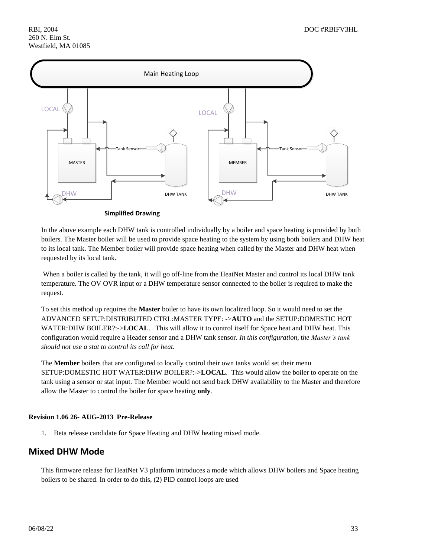

In the above example each DHW tank is controlled individually by a boiler and space heating is provided by both boilers. The Master boiler will be used to provide space heating to the system by using both boilers and DHW heat to its local tank. The Member boiler will provide space heating when called by the Master and DHW heat when requested by its local tank.

When a boiler is called by the tank, it will go off-line from the HeatNet Master and control its local DHW tank temperature. The OV OVR input or a DHW temperature sensor connected to the boiler is required to make the request.

To set this method up requires the **Master** boiler to have its own localized loop. So it would need to set the ADVANCED SETUP:DISTRIBUTED CTRL:MASTER TYPE: ->**AUTO** and the SETUP:DOMESTIC HOT WATER:DHW BOILER?:->LOCAL. This will allow it to control itself for Space heat and DHW heat. This configuration would require a Header sensor and a DHW tank sensor. *In this configuration,* t*he Master's tank should not use a stat to control its call for heat.*

The **Member** boilers that are configured to locally control their own tanks would set their menu SETUP:DOMESTIC HOT WATER:DHW BOILER?:->**LOCAL**. This would allow the boiler to operate on the tank using a sensor or stat input. The Member would not send back DHW availability to the Master and therefore allow the Master to control the boiler for space heating **only**.

## **Revision 1.06 26- AUG-2013 Pre-Release**

1. Beta release candidate for Space Heating and DHW heating mixed mode.

## **Mixed DHW Mode**

This firmware release for HeatNet V3 platform introduces a mode which allows DHW boilers and Space heating boilers to be shared. In order to do this, (2) PID control loops are used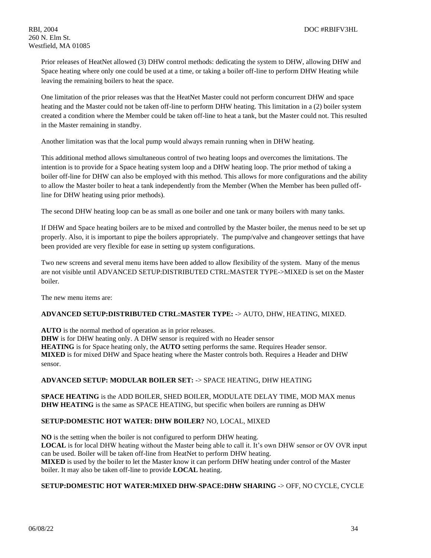Prior releases of HeatNet allowed (3) DHW control methods: dedicating the system to DHW, allowing DHW and Space heating where only one could be used at a time, or taking a boiler off-line to perform DHW Heating while leaving the remaining boilers to heat the space.

One limitation of the prior releases was that the HeatNet Master could not perform concurrent DHW and space heating and the Master could not be taken off-line to perform DHW heating. This limitation in a (2) boiler system created a condition where the Member could be taken off-line to heat a tank, but the Master could not. This resulted in the Master remaining in standby.

Another limitation was that the local pump would always remain running when in DHW heating.

This additional method allows simultaneous control of two heating loops and overcomes the limitations. The intention is to provide for a Space heating system loop and a DHW heating loop. The prior method of taking a boiler off-line for DHW can also be employed with this method. This allows for more configurations and the ability to allow the Master boiler to heat a tank independently from the Member (When the Member has been pulled offline for DHW heating using prior methods).

The second DHW heating loop can be as small as one boiler and one tank or many boilers with many tanks.

If DHW and Space heating boilers are to be mixed and controlled by the Master boiler, the menus need to be set up properly. Also, it is important to pipe the boilers appropriately. The pump/valve and changeover settings that have been provided are very flexible for ease in setting up system configurations.

Two new screens and several menu items have been added to allow flexibility of the system. Many of the menus are not visible until ADVANCED SETUP:DISTRIBUTED CTRL:MASTER TYPE->MIXED is set on the Master boiler.

The new menu items are:

## **ADVANCED SETUP:DISTRIBUTED CTRL:MASTER TYPE:** -> AUTO, DHW, HEATING, MIXED.

**AUTO** is the normal method of operation as in prior releases.

**DHW** is for DHW heating only. A DHW sensor is required with no Header sensor **HEATING** is for Space heating only, the **AUTO** setting performs the same. Requires Header sensor. **MIXED** is for mixed DHW and Space heating where the Master controls both. Requires a Header and DHW sensor.

## **ADVANCED SETUP: MODULAR BOILER SET:** -> SPACE HEATING, DHW HEATING

**SPACE HEATING** is the ADD BOILER, SHED BOILER, MODULATE DELAY TIME, MOD MAX menus **DHW HEATING** is the same as SPACE HEATING, but specific when boilers are running as DHW

## **SETUP:DOMESTIC HOT WATER: DHW BOILER?** NO, LOCAL, MIXED

**NO** is the setting when the boiler is not configured to perform DHW heating. **LOCAL** is for local DHW heating without the Master being able to call it. It's own DHW sensor or OV OVR input can be used. Boiler will be taken off-line from HeatNet to perform DHW heating. **MIXED** is used by the boiler to let the Master know it can perform DHW heating under control of the Master boiler. It may also be taken off-line to provide **LOCAL** heating.

## **SETUP:DOMESTIC HOT WATER:MIXED DHW-SPACE:DHW SHARING** -> OFF, NO CYCLE, CYCLE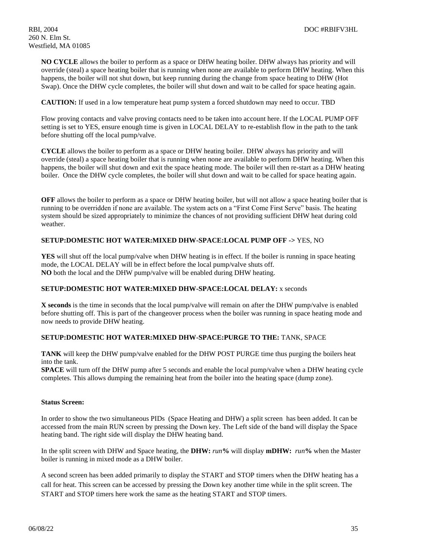**NO CYCLE** allows the boiler to perform as a space or DHW heating boiler. DHW always has priority and will override (steal) a space heating boiler that is running when none are available to perform DHW heating. When this happens, the boiler will not shut down, but keep running during the change from space heating to DHW (Hot Swap). Once the DHW cycle completes, the boiler will shut down and wait to be called for space heating again.

**CAUTION:** If used in a low temperature heat pump system a forced shutdown may need to occur. TBD

Flow proving contacts and valve proving contacts need to be taken into account here. If the LOCAL PUMP OFF setting is set to YES, ensure enough time is given in LOCAL DELAY to re-establish flow in the path to the tank before shutting off the local pump/valve.

**CYCLE** allows the boiler to perform as a space or DHW heating boiler. DHW always has priority and will override (steal) a space heating boiler that is running when none are available to perform DHW heating. When this happens, the boiler will shut down and exit the space heating mode. The boiler will then re-start as a DHW heating boiler. Once the DHW cycle completes, the boiler will shut down and wait to be called for space heating again.

**OFF** allows the boiler to perform as a space or DHW heating boiler, but will not allow a space heating boiler that is running to be overridden if none are available. The system acts on a "First Come First Serve" basis. The heating system should be sized appropriately to minimize the chances of not providing sufficient DHW heat during cold weather.

## **SETUP:DOMESTIC HOT WATER:MIXED DHW-SPACE:LOCAL PUMP OFF ->** YES, NO

**YES** will shut off the local pump/valve when DHW heating is in effect. If the boiler is running in space heating mode, the LOCAL DELAY will be in effect before the local pump/valve shuts off. **NO** both the local and the DHW pump/valve will be enabled during DHW heating.

## **SETUP:DOMESTIC HOT WATER:MIXED DHW-SPACE:LOCAL DELAY:** x seconds

**X seconds** is the time in seconds that the local pump/valve will remain on after the DHW pump/valve is enabled before shutting off. This is part of the changeover process when the boiler was running in space heating mode and now needs to provide DHW heating.

## **SETUP:DOMESTIC HOT WATER:MIXED DHW-SPACE:PURGE TO THE:** TANK, SPACE

**TANK** will keep the DHW pump/valve enabled for the DHW POST PURGE time thus purging the boilers heat into the tank.

**SPACE** will turn off the DHW pump after 5 seconds and enable the local pump/valve when a DHW heating cycle completes. This allows dumping the remaining heat from the boiler into the heating space (dump zone).

## **Status Screen:**

In order to show the two simultaneous PIDs (Space Heating and DHW) a split screen has been added. It can be accessed from the main RUN screen by pressing the Down key. The Left side of the band will display the Space heating band. The right side will display the DHW heating band.

In the split screen with DHW and Space heating, the **DHW:** *run***%** will display **mDHW:** *run***%** when the Master boiler is running in mixed mode as a DHW boiler.

A second screen has been added primarily to display the START and STOP timers when the DHW heating has a call for heat. This screen can be accessed by pressing the Down key another time while in the split screen. The START and STOP timers here work the same as the heating START and STOP timers.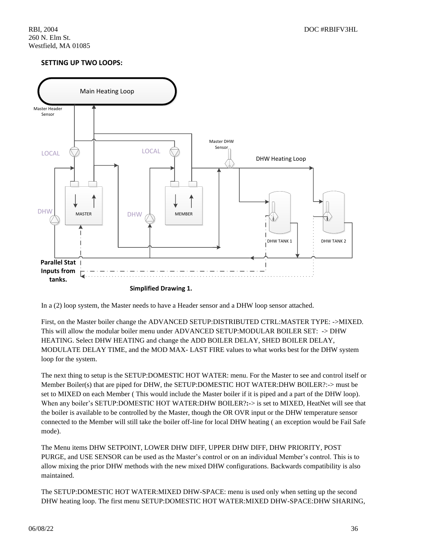## **SETTING UP TWO LOOPS:**



In a (2) loop system, the Master needs to have a Header sensor and a DHW loop sensor attached.

First, on the Master boiler change the ADVANCED SETUP:DISTRIBUTED CTRL:MASTER TYPE: ->MIXED. This will allow the modular boiler menu under ADVANCED SETUP:MODULAR BOILER SET: -> DHW HEATING. Select DHW HEATING and change the ADD BOILER DELAY, SHED BOILER DELAY, MODULATE DELAY TIME, and the MOD MAX- LAST FIRE values to what works best for the DHW system loop for the system.

The next thing to setup is the SETUP:DOMESTIC HOT WATER: menu. For the Master to see and control itself or Member Boiler(s) that are piped for DHW, the SETUP:DOMESTIC HOT WATER:DHW BOILER?:-> must be set to MIXED on each Member ( This would include the Master boiler if it is piped and a part of the DHW loop). When any boiler's SETUP:DOMESTIC HOT WATER:DHW BOILER?**:**-> is set to MIXED, HeatNet will see that the boiler is available to be controlled by the Master, though the OR OVR input or the DHW temperature sensor connected to the Member will still take the boiler off-line for local DHW heating ( an exception would be Fail Safe mode).

The Menu items DHW SETPOINT, LOWER DHW DIFF, UPPER DHW DIFF, DHW PRIORITY, POST PURGE, and USE SENSOR can be used as the Master's control or on an individual Member's control. This is to allow mixing the prior DHW methods with the new mixed DHW configurations. Backwards compatibility is also maintained.

The SETUP:DOMESTIC HOT WATER:MIXED DHW-SPACE: menu is used only when setting up the second DHW heating loop. The first menu SETUP:DOMESTIC HOT WATER:MIXED DHW-SPACE:DHW SHARING,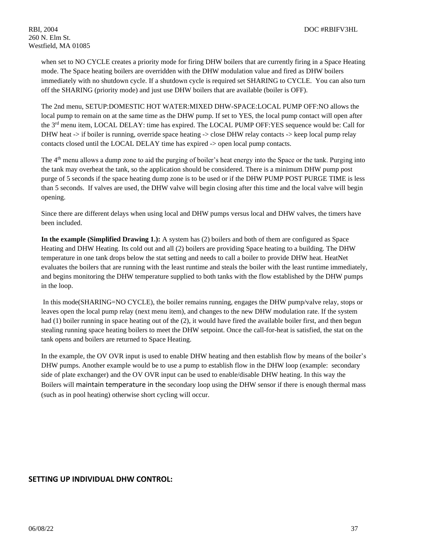when set to NO CYCLE creates a priority mode for firing DHW boilers that are currently firing in a Space Heating mode. The Space heating boilers are overridden with the DHW modulation value and fired as DHW boilers immediately with no shutdown cycle. If a shutdown cycle is required set SHARING to CYCLE. You can also turn off the SHARING (priority mode) and just use DHW boilers that are available (boiler is OFF).

The 2nd menu, SETUP:DOMESTIC HOT WATER:MIXED DHW-SPACE:LOCAL PUMP OFF:NO allows the local pump to remain on at the same time as the DHW pump. If set to YES, the local pump contact will open after the 3<sup>rd</sup> menu item, LOCAL DELAY: time has expired. The LOCAL PUMP OFF:YES sequence would be: Call for DHW heat -> if boiler is running, override space heating -> close DHW relay contacts -> keep local pump relay contacts closed until the LOCAL DELAY time has expired -> open local pump contacts.

The 4<sup>th</sup> menu allows a dump zone to aid the purging of boiler's heat energy into the Space or the tank. Purging into the tank may overheat the tank, so the application should be considered. There is a minimum DHW pump post purge of 5 seconds if the space heating dump zone is to be used or if the DHW PUMP POST PURGE TIME is less than 5 seconds. If valves are used, the DHW valve will begin closing after this time and the local valve will begin opening.

Since there are different delays when using local and DHW pumps versus local and DHW valves, the timers have been included.

**In the example (Simplified Drawing 1.):** A system has (2) boilers and both of them are configured as Space Heating and DHW Heating. Its cold out and all (2) boilers are providing Space heating to a building. The DHW temperature in one tank drops below the stat setting and needs to call a boiler to provide DHW heat. HeatNet evaluates the boilers that are running with the least runtime and steals the boiler with the least runtime immediately, and begins monitoring the DHW temperature supplied to both tanks with the flow established by the DHW pumps in the loop.

In this mode(SHARING=NO CYCLE), the boiler remains running, engages the DHW pump/valve relay, stops or leaves open the local pump relay (next menu item), and changes to the new DHW modulation rate. If the system had (1) boiler running in space heating out of the (2), it would have fired the available boiler first, and then begun stealing running space heating boilers to meet the DHW setpoint. Once the call-for-heat is satisfied, the stat on the tank opens and boilers are returned to Space Heating.

In the example, the OV OVR input is used to enable DHW heating and then establish flow by means of the boiler's DHW pumps. Another example would be to use a pump to establish flow in the DHW loop (example: secondary side of plate exchanger) and the OV OVR input can be used to enable/disable DHW heating. In this way the Boilers will maintain temperature in the secondary loop using the DHW sensor if there is enough thermal mass (such as in pool heating) otherwise short cycling will occur.

## **SETTING UP INDIVIDUAL DHW CONTROL:**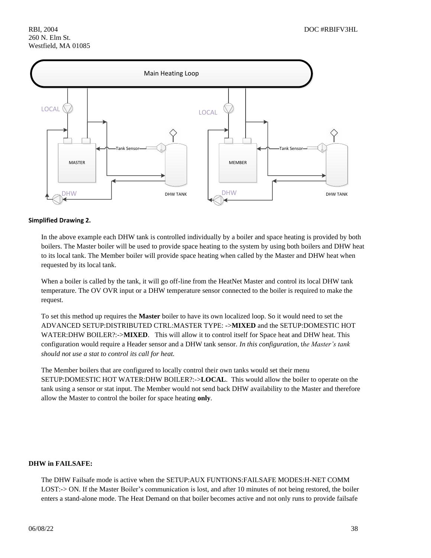

### **Simplified Drawing 2.**

In the above example each DHW tank is controlled individually by a boiler and space heating is provided by both boilers. The Master boiler will be used to provide space heating to the system by using both boilers and DHW heat to its local tank. The Member boiler will provide space heating when called by the Master and DHW heat when requested by its local tank.

When a boiler is called by the tank, it will go off-line from the HeatNet Master and control its local DHW tank temperature. The OV OVR input or a DHW temperature sensor connected to the boiler is required to make the request.

To set this method up requires the **Master** boiler to have its own localized loop. So it would need to set the ADVANCED SETUP:DISTRIBUTED CTRL:MASTER TYPE: ->**MIXED** and the SETUP:DOMESTIC HOT WATER:DHW BOILER?:->**MIXED**. This will allow it to control itself for Space heat and DHW heat. This configuration would require a Header sensor and a DHW tank sensor. *In this configuration,* t*he Master's tank should not use a stat to control its call for heat.*

The Member boilers that are configured to locally control their own tanks would set their menu SETUP:DOMESTIC HOT WATER:DHW BOILER?:->**LOCAL**. This would allow the boiler to operate on the tank using a sensor or stat input. The Member would not send back DHW availability to the Master and therefore allow the Master to control the boiler for space heating **only**.

## **DHW in FAILSAFE:**

The DHW Failsafe mode is active when the SETUP:AUX FUNTIONS:FAILSAFE MODES:H-NET COMM LOST:-> ON. If the Master Boiler's communication is lost, and after 10 minutes of not being restored, the boiler enters a stand-alone mode. The Heat Demand on that boiler becomes active and not only runs to provide failsafe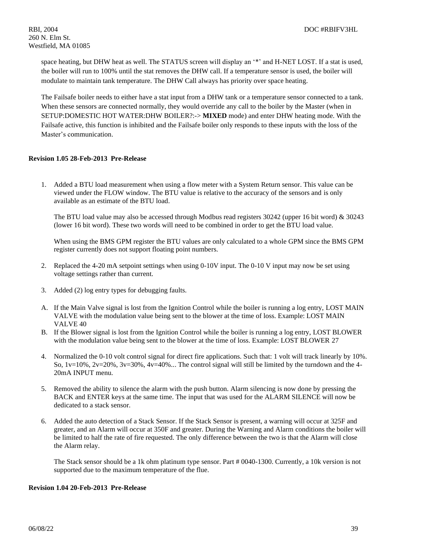space heating, but DHW heat as well. The STATUS screen will display an '\*' and H-NET LOST. If a stat is used, the boiler will run to 100% until the stat removes the DHW call. If a temperature sensor is used, the boiler will modulate to maintain tank temperature. The DHW Call always has priority over space heating.

The Failsafe boiler needs to either have a stat input from a DHW tank or a temperature sensor connected to a tank. When these sensors are connected normally, they would override any call to the boiler by the Master (when in SETUP:DOMESTIC HOT WATER:DHW BOILER?:-> **MIXED** mode) and enter DHW heating mode. With the Failsafe active, this function is inhibited and the Failsafe boiler only responds to these inputs with the loss of the Master's communication.

### **Revision 1.05 28-Feb-2013 Pre-Release**

1. Added a BTU load measurement when using a flow meter with a System Return sensor. This value can be viewed under the FLOW window. The BTU value is relative to the accuracy of the sensors and is only available as an estimate of the BTU load.

The BTU load value may also be accessed through Modbus read registers 30242 (upper 16 bit word) & 30243 (lower 16 bit word). These two words will need to be combined in order to get the BTU load value.

When using the BMS GPM register the BTU values are only calculated to a whole GPM since the BMS GPM register currently does not support floating point numbers.

- 2. Replaced the 4-20 mA setpoint settings when using 0-10V input. The 0-10 V input may now be set using voltage settings rather than current.
- 3. Added (2) log entry types for debugging faults.
- A. If the Main Valve signal is lost from the Ignition Control while the boiler is running a log entry, LOST MAIN VALVE with the modulation value being sent to the blower at the time of loss. Example: LOST MAIN VALVE 40
- B. If the Blower signal is lost from the Ignition Control while the boiler is running a log entry, LOST BLOWER with the modulation value being sent to the blower at the time of loss. Example: LOST BLOWER 27
- 4. Normalized the 0-10 volt control signal for direct fire applications. Such that: 1 volt will track linearly by 10%. So,  $1v=10\%$ ,  $2v=20\%$ ,  $3v=30\%$ ,  $4v=40\%$ ... The control signal will still be limited by the turndown and the 4-20mA INPUT menu.
- 5. Removed the ability to silence the alarm with the push button. Alarm silencing is now done by pressing the BACK and ENTER keys at the same time. The input that was used for the ALARM SILENCE will now be dedicated to a stack sensor.
- 6. Added the auto detection of a Stack Sensor. If the Stack Sensor is present, a warning will occur at 325F and greater, and an Alarm will occur at 350F and greater. During the Warning and Alarm conditions the boiler will be limited to half the rate of fire requested. The only difference between the two is that the Alarm will close the Alarm relay.

The Stack sensor should be a 1k ohm platinum type sensor. Part # 0040-1300. Currently, a 10k version is not supported due to the maximum temperature of the flue.

### **Revision 1.04 20-Feb-2013 Pre-Release**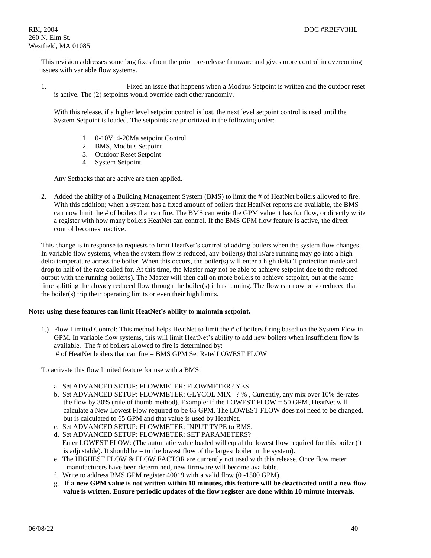This revision addresses some bug fixes from the prior pre-release firmware and gives more control in overcoming issues with variable flow systems.

1. Fixed an issue that happens when a Modbus Setpoint is written and the outdoor reset is active. The (2) setpoints would override each other randomly.

With this release, if a higher level setpoint control is lost, the next level setpoint control is used until the System Setpoint is loaded. The setpoints are prioritized in the following order:

- 1. 0-10V, 4-20Ma setpoint Control
- 2. BMS, Modbus Setpoint
- 3. Outdoor Reset Setpoint
- 4. System Setpoint

Any Setbacks that are active are then applied.

2. Added the ability of a Building Management System (BMS) to limit the # of HeatNet boilers allowed to fire. With this addition; when a system has a fixed amount of boilers that HeatNet reports are available, the BMS can now limit the # of boilers that can fire. The BMS can write the GPM value it has for flow, or directly write a register with how many boilers HeatNet can control. If the BMS GPM flow feature is active, the direct control becomes inactive.

This change is in response to requests to limit HeatNet's control of adding boilers when the system flow changes. In variable flow systems, when the system flow is reduced, any boiler(s) that is/are running may go into a high delta temperature across the boiler. When this occurs, the boiler(s) will enter a high delta T protection mode and drop to half of the rate called for. At this time, the Master may not be able to achieve setpoint due to the reduced output with the running boiler(s). The Master will then call on more boilers to achieve setpoint, but at the same time splitting the already reduced flow through the boiler(s) it has running. The flow can now be so reduced that the boiler(s) trip their operating limits or even their high limits.

## **Note: using these features can limit HeatNet's ability to maintain setpoint.**

1.) Flow Limited Control: This method helps HeatNet to limit the # of boilers firing based on the System Flow in GPM. In variable flow systems, this will limit HeatNet's ability to add new boilers when insufficient flow is available. The # of boilers allowed to fire is determined by: # of HeatNet boilers that can fire = BMS GPM Set Rate/ LOWEST FLOW

To activate this flow limited feature for use with a BMS:

- a. Set ADVANCED SETUP: FLOWMETER: FLOWMETER? YES
- b. Set ADVANCED SETUP: FLOWMETER: GLYCOL MIX ? %, Currently, any mix over 10% de-rates the flow by 30% (rule of thumb method). Example: if the LOWEST FLOW = 50 GPM, HeatNet will calculate a New Lowest Flow required to be 65 GPM. The LOWEST FLOW does not need to be changed, but is calculated to 65 GPM and that value is used by HeatNet.
- c. Set ADVANCED SETUP: FLOWMETER: INPUT TYPE to BMS.
- d. Set ADVANCED SETUP: FLOWMETER: SET PARAMETERS? Enter LOWEST FLOW: (The automatic value loaded will equal the lowest flow required for this boiler (it is adjustable). It should be  $=$  to the lowest flow of the largest boiler in the system).
- e. The HIGHEST FLOW & FLOW FACTOR are currently not used with this release. Once flow meter manufacturers have been determined, new firmware will become available.
- f. Write to address BMS GPM register 40019 with a valid flow (0 -1500 GPM).
- g. **If a new GPM value is not written within 10 minutes, this feature will be deactivated until a new flow value is written. Ensure periodic updates of the flow register are done within 10 minute intervals.**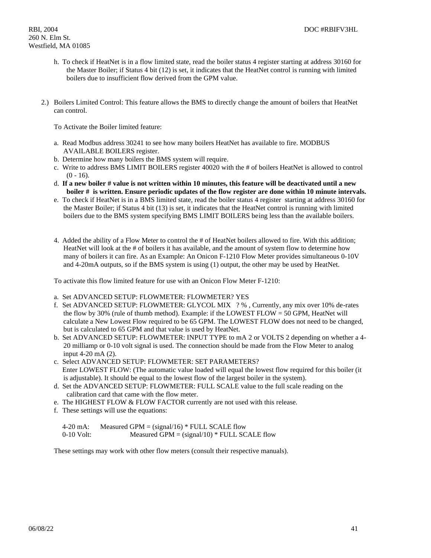- h. To check if HeatNet is in a flow limited state, read the boiler status 4 register starting at address 30160 for the Master Boiler; if Status 4 bit (12) is set, it indicates that the HeatNet control is running with limited boilers due to insufficient flow derived from the GPM value.
- 2.) Boilers Limited Control: This feature allows the BMS to directly change the amount of boilers that HeatNet can control.

To Activate the Boiler limited feature:

- a. Read Modbus address 30241 to see how many boilers HeatNet has available to fire. MODBUS AVAILABLE BOILERS register.
- b. Determine how many boilers the BMS system will require.
- c. Write to address BMS LIMIT BOILERS register 40020 with the # of boilers HeatNet is allowed to control  $(0 - 16)$ .
- d. **If a new boiler # value is not written within 10 minutes, this feature will be deactivated until a new boiler # is written. Ensure periodic updates of the flow register are done within 10 minute intervals.**
- e. To check if HeatNet is in a BMS limited state, read the boiler status 4 register starting at address 30160 for the Master Boiler; if Status 4 bit (13) is set, it indicates that the HeatNet control is running with limited boilers due to the BMS system specifying BMS LIMIT BOILERS being less than the available boilers.
- 4. Added the ability of a Flow Meter to control the # of HeatNet boilers allowed to fire. With this addition; HeatNet will look at the # of boilers it has available, and the amount of system flow to determine how many of boilers it can fire. As an Example: An Onicon F-1210 Flow Meter provides simultaneous 0-10V and 4-20mA outputs, so if the BMS system is using (1) output, the other may be used by HeatNet.

To activate this flow limited feature for use with an Onicon Flow Meter F-1210:

- a. Set ADVANCED SETUP: FLOWMETER: FLOWMETER? YES
- f. Set ADVANCED SETUP: FLOWMETER: GLYCOL MIX ? % , Currently, any mix over 10% de-rates the flow by 30% (rule of thumb method). Example: if the LOWEST FLOW = 50 GPM, HeatNet will calculate a New Lowest Flow required to be 65 GPM. The LOWEST FLOW does not need to be changed, but is calculated to 65 GPM and that value is used by HeatNet.
- b. Set ADVANCED SETUP: FLOWMETER: INPUT TYPE to mA 2 or VOLTS 2 depending on whether a 4- 20 milliamp or 0-10 volt signal is used. The connection should be made from the Flow Meter to analog input 4-20 mA (2).
- c. Select ADVANCED SETUP: FLOWMETER: SET PARAMETERS? Enter LOWEST FLOW: (The automatic value loaded will equal the lowest flow required for this boiler (it is adjustable). It should be equal to the lowest flow of the largest boiler in the system).
- d. Set the ADVANCED SETUP: FLOWMETER: FULL SCALE value to the full scale reading on the calibration card that came with the flow meter.
- e. The HIGHEST FLOW & FLOW FACTOR currently are not used with this release.
- f. These settings will use the equations:

| $4-20$ mA:   | Measured GPM = $(signal/16)$ * FULL SCALE flow |
|--------------|------------------------------------------------|
| $0-10$ Volt: | Measured GPM = $(signal/10)$ * FULL SCALE flow |

These settings may work with other flow meters (consult their respective manuals).